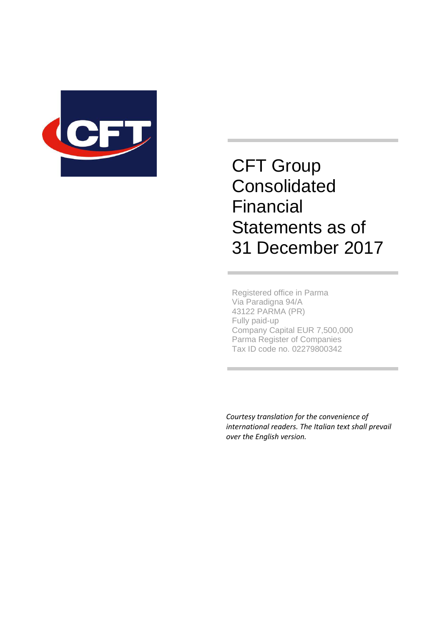

CFT Group **Consolidated** Financial Statements as of 31 December 2017

Registered office in Parma Via Paradigna 94/A 43122 PARMA (PR) Fully paid-up Company Capital EUR 7,500,000 Parma Register of Companies Tax ID code no. 02279800342

 *Courtesy translation for the convenience of international readers. The Italian text shall prevail over the English version.*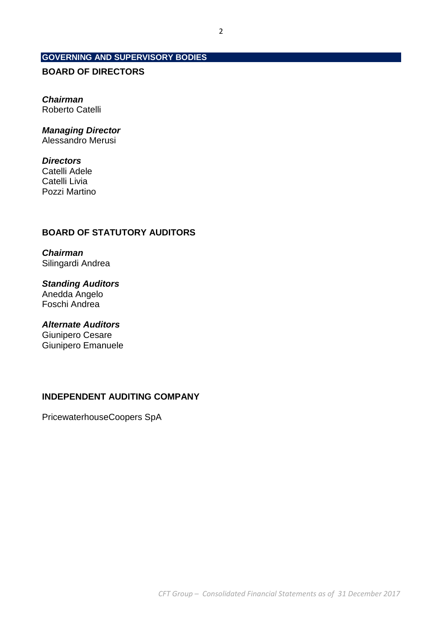## **GOVERNING AND SUPERVISORY BODIES**

## **BOARD OF DIRECTORS**

**Chairman**  Roberto Catelli

## **Managing Director**

Alessandro Merusi

## **Directors**

Catelli Adele Catelli Livia Pozzi Martino

## **BOARD OF STATUTORY AUDITORS**

**Chairman**  Silingardi Andrea

**Standing Auditors**  Anedda Angelo Foschi Andrea

**Alternate Auditors**  Giunipero Cesare Giunipero Emanuele

## **INDEPENDENT AUDITING COMPANY**

PricewaterhouseCoopers SpA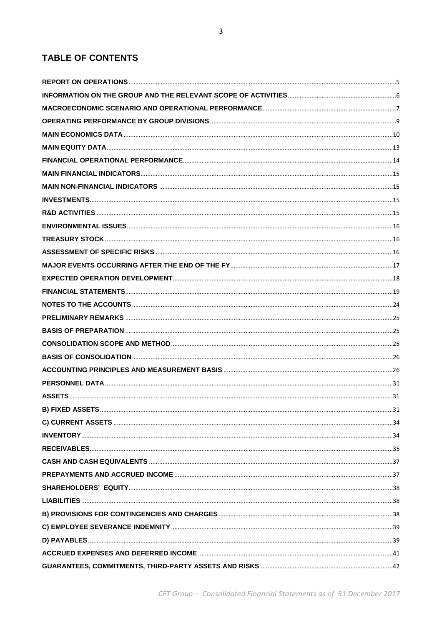# **TABLE OF CONTENTS**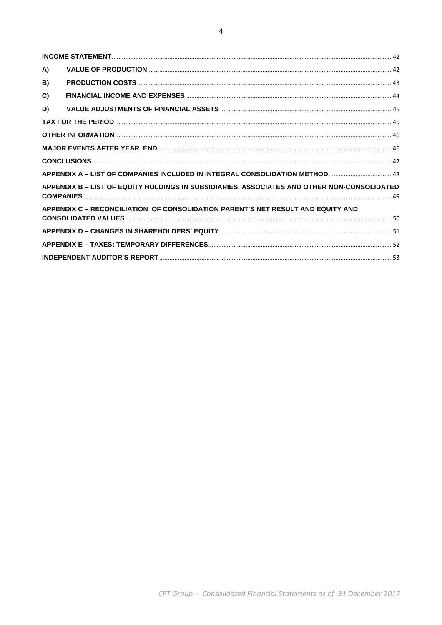| A) |                                                                                             |  |
|----|---------------------------------------------------------------------------------------------|--|
| B) |                                                                                             |  |
| C) |                                                                                             |  |
| D) |                                                                                             |  |
|    |                                                                                             |  |
|    |                                                                                             |  |
|    |                                                                                             |  |
|    |                                                                                             |  |
|    | APPENDIX A - LIST OF COMPANIES INCLUDED IN INTEGRAL CONSOLIDATION METHOD48                  |  |
|    | APPENDIX B - LIST OF EQUITY HOLDINGS IN SUBSIDIARIES, ASSOCIATES AND OTHER NON-CONSOLIDATED |  |
|    | APPENDIX C - RECONCILIATION OF CONSOLIDATION PARENT'S NET RESULT AND EQUITY AND             |  |
|    |                                                                                             |  |
|    |                                                                                             |  |
|    |                                                                                             |  |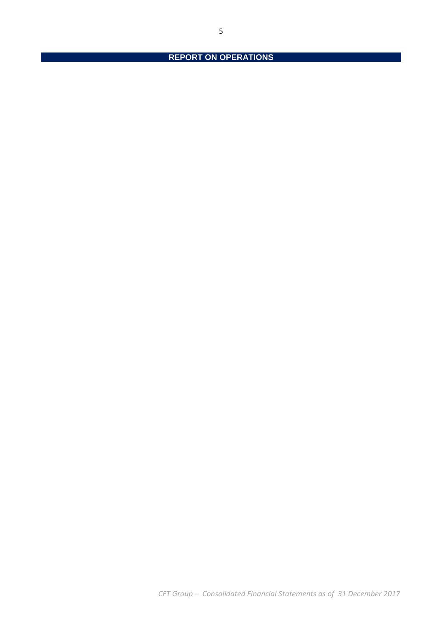**REPORT ON OPERATIONS**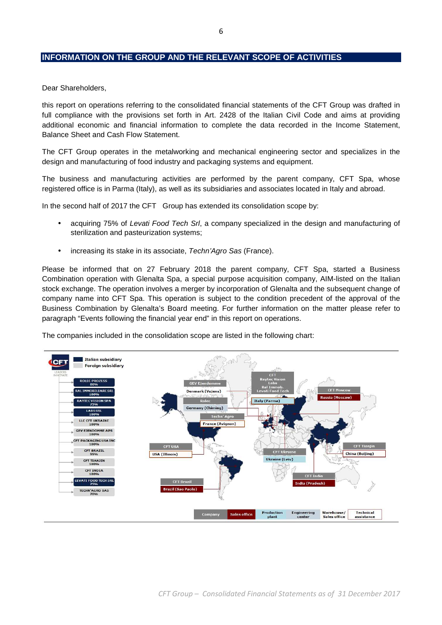## **INFORMATION ON THE GROUP AND THE RELEVANT SCOPE OF ACTIVITIES**

Dear Shareholders,

this report on operations referring to the consolidated financial statements of the CFT Group was drafted in full compliance with the provisions set forth in Art. 2428 of the Italian Civil Code and aims at providing additional economic and financial information to complete the data recorded in the Income Statement, Balance Sheet and Cash Flow Statement.

The CFT Group operates in the metalworking and mechanical engineering sector and specializes in the design and manufacturing of food industry and packaging systems and equipment.

The business and manufacturing activities are performed by the parent company, CFT Spa, whose registered office is in Parma (Italy), as well as its subsidiaries and associates located in Italy and abroad.

In the second half of 2017 the CFT Group has extended its consolidation scope by:

- acquiring 75% of Levati Food Tech Srl, a company specialized in the design and manufacturing of sterilization and pasteurization systems;
- increasing its stake in its associate, Techn'Agro Sas (France).

Please be informed that on 27 February 2018 the parent company, CFT Spa, started a Business Combination operation with Glenalta Spa, a special purpose acquisition company, AIM-listed on the Italian stock exchange. The operation involves a merger by incorporation of Glenalta and the subsequent change of company name into CFT Spa. This operation is subject to the condition precedent of the approval of the Business Combination by Glenalta's Board meeting. For further information on the matter please refer to paragraph "Events following the financial year end" in this report on operations.

The companies included in the consolidation scope are listed in the following chart:

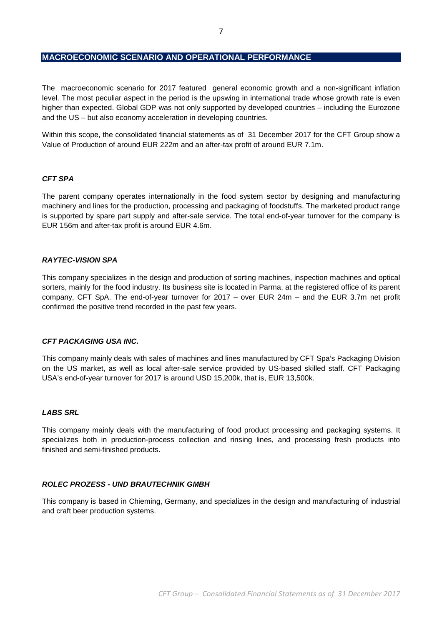### **MACROECONOMIC SCENARIO AND OPERATIONAL PERFORMANCE**

The macroeconomic scenario for 2017 featured general economic growth and a non-significant inflation level. The most peculiar aspect in the period is the upswing in international trade whose growth rate is even higher than expected. Global GDP was not only supported by developed countries – including the Eurozone and the US – but also economy acceleration in developing countries.

Within this scope, the consolidated financial statements as of 31 December 2017 for the CFT Group show a Value of Production of around EUR 222m and an after-tax profit of around EUR 7.1m.

#### **CFT SPA**

The parent company operates internationally in the food system sector by designing and manufacturing machinery and lines for the production, processing and packaging of foodstuffs. The marketed product range is supported by spare part supply and after-sale service. The total end-of-year turnover for the company is EUR 156m and after-tax profit is around EUR 4.6m.

### **RAYTEC-VISION SPA**

This company specializes in the design and production of sorting machines, inspection machines and optical sorters, mainly for the food industry. Its business site is located in Parma, at the registered office of its parent company, CFT SpA. The end-of-year turnover for 2017 – over EUR 24m – and the EUR 3.7m net profit confirmed the positive trend recorded in the past few years.

#### **CFT PACKAGING USA INC.**

This company mainly deals with sales of machines and lines manufactured by CFT Spa's Packaging Division on the US market, as well as local after-sale service provided by US-based skilled staff. CFT Packaging USA's end-of-year turnover for 2017 is around USD 15,200k, that is, EUR 13,500k.

#### **LABS SRL**

This company mainly deals with the manufacturing of food product processing and packaging systems. It specializes both in production-process collection and rinsing lines, and processing fresh products into finished and semi-finished products.

### **ROLEC PROZESS - UND BRAUTECHNIK GMBH**

This company is based in Chieming, Germany, and specializes in the design and manufacturing of industrial and craft beer production systems.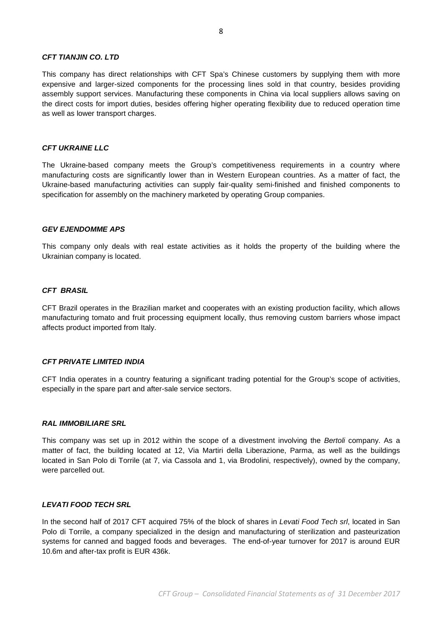#### **CFT TIANJIN CO. LTD**

This company has direct relationships with CFT Spa's Chinese customers by supplying them with more expensive and larger-sized components for the processing lines sold in that country, besides providing assembly support services. Manufacturing these components in China via local suppliers allows saving on the direct costs for import duties, besides offering higher operating flexibility due to reduced operation time as well as lower transport charges.

#### **CFT UKRAINE LLC**

The Ukraine-based company meets the Group's competitiveness requirements in a country where manufacturing costs are significantly lower than in Western European countries. As a matter of fact, the Ukraine-based manufacturing activities can supply fair-quality semi-finished and finished components to specification for assembly on the machinery marketed by operating Group companies.

#### **GEV EJENDOMME APS**

This company only deals with real estate activities as it holds the property of the building where the Ukrainian company is located.

#### **CFT BRASIL**

CFT Brazil operates in the Brazilian market and cooperates with an existing production facility, which allows manufacturing tomato and fruit processing equipment locally, thus removing custom barriers whose impact affects product imported from Italy.

#### **CFT PRIVATE LIMITED INDIA**

CFT India operates in a country featuring a significant trading potential for the Group's scope of activities, especially in the spare part and after-sale service sectors.

#### **RAL IMMOBILIARE SRL**

This company was set up in 2012 within the scope of a divestment involving the Bertoli company. As a matter of fact, the building located at 12, Via Martiri della Liberazione, Parma, as well as the buildings located in San Polo di Torrile (at 7, via Cassola and 1, via Brodolini, respectively), owned by the company, were parcelled out.

#### **LEVATI FOOD TECH SRL**

In the second half of 2017 CFT acquired 75% of the block of shares in Levati Food Tech srl, located in San Polo di Torrile, a company specialized in the design and manufacturing of sterilization and pasteurization systems for canned and bagged foods and beverages. The end-of-year turnover for 2017 is around EUR 10.6m and after-tax profit is EUR 436k.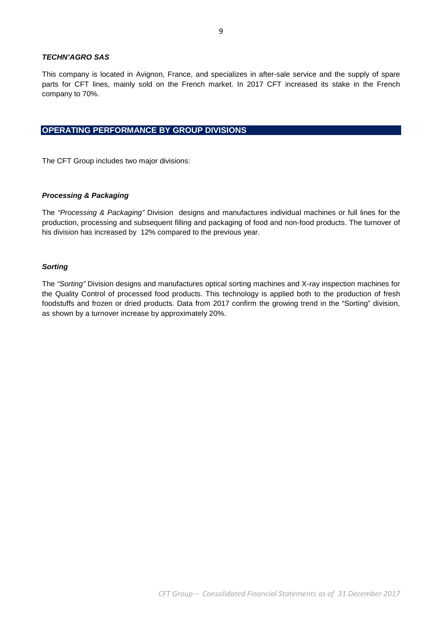### **TECHN'AGRO SAS**

This company is located in Avignon, France, and specializes in after-sale service and the supply of spare parts for CFT lines, mainly sold on the French market. In 2017 CFT increased its stake in the French company to 70%.

## **OPERATING PERFORMANCE BY GROUP DIVISIONS**

The CFT Group includes two major divisions:

#### **Processing & Packaging**

The "Processing & Packaging" Division designs and manufactures individual machines or full lines for the production, processing and subsequent filling and packaging of food and non-food products. The turnover of his division has increased by 12% compared to the previous year.

#### **Sorting**

The "Sorting" Division designs and manufactures optical sorting machines and X-ray inspection machines for the Quality Control of processed food products. This technology is applied both to the production of fresh foodstuffs and frozen or dried products. Data from 2017 confirm the growing trend in the "Sorting" division, as shown by a turnover increase by approximately 20%.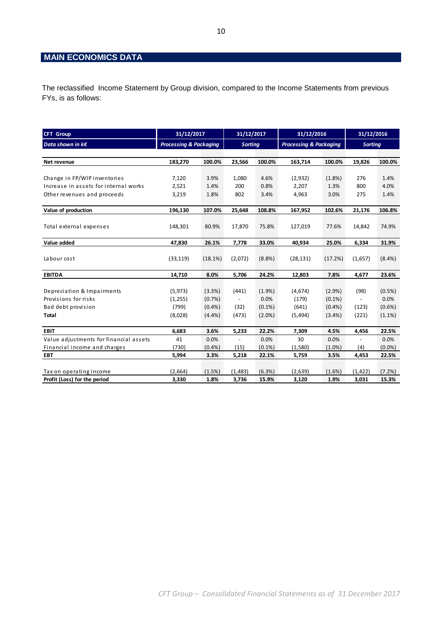## **MAIN ECONOMICS DATA**

The reclassified Income Statement by Group division, compared to the Income Statements from previous FYs, is as follows:

| <b>CFT Group</b>                       | 31/12/2017                        |         | 31/12/2017               |           |                                   |           |                          |           | 31/12/2016 |  | 31/12/2016 |  |
|----------------------------------------|-----------------------------------|---------|--------------------------|-----------|-----------------------------------|-----------|--------------------------|-----------|------------|--|------------|--|
| Data shown in $k \in$                  | <b>Processing &amp; Packaging</b> |         | <b>Sorting</b>           |           | <b>Processing &amp; Packaging</b> |           | <b>Sorting</b>           |           |            |  |            |  |
|                                        |                                   |         |                          |           |                                   |           |                          |           |            |  |            |  |
| Net revenue                            | 183,270                           | 100.0%  | 23,566                   | 100.0%    | 163,714                           | 100.0%    | 19,826                   | 100.0%    |            |  |            |  |
|                                        |                                   |         |                          |           |                                   |           |                          |           |            |  |            |  |
| Change in FP/WIP inventories           | 7,120                             | 3.9%    | 1,080                    | 4.6%      | (2,932)                           | (1.8%)    | 276                      | 1.4%      |            |  |            |  |
| Increase in assets for internal works  | 2,521                             | 1.4%    | 200                      | 0.8%      | 2,207                             | 1.3%      | 800                      | 4.0%      |            |  |            |  |
| Other revenues and proceeds            | 3,219                             | 1.8%    | 802                      | 3.4%      | 4,963                             | 3.0%      | 275                      | 1.4%      |            |  |            |  |
|                                        |                                   |         |                          | 108.8%    |                                   | 102.6%    |                          | 106.8%    |            |  |            |  |
| Value of production                    | 196,130                           | 107.0%  | 25,648                   |           | 167,952                           |           | 21,176                   |           |            |  |            |  |
| Total external expenses                | 148,301                           | 80.9%   | 17,870                   | 75.8%     | 127,019                           | 77.6%     | 14,842                   | 74.9%     |            |  |            |  |
|                                        |                                   |         |                          |           |                                   |           |                          |           |            |  |            |  |
| Value added                            | 47,830                            | 26.1%   | 7,778                    | 33.0%     | 40,934                            | 25.0%     | 6,334                    | 31.9%     |            |  |            |  |
|                                        |                                   |         |                          |           |                                   |           |                          |           |            |  |            |  |
| Labour cost                            | (33, 119)                         | (18.1%) | (2,072)                  | (8.8%)    | (28, 131)                         | (17.2%)   | (1,657)                  | $(8.4\%)$ |            |  |            |  |
|                                        |                                   |         |                          |           |                                   |           |                          |           |            |  |            |  |
| <b>EBITDA</b>                          | 14,710                            | 8.0%    | 5,706                    | 24.2%     | 12,803                            | 7.8%      | 4,677                    | 23.6%     |            |  |            |  |
|                                        |                                   |         |                          |           |                                   |           |                          |           |            |  |            |  |
| Depreciation & Impairments             | (5, 973)                          | (3.3%)  | (441)                    | $(1.9\%)$ | (4,674)                           | $(2.9\%)$ | (98)                     | (0.5%)    |            |  |            |  |
| Provisions for risks                   | (1,255)                           | (0.7%   | $\overline{\phantom{a}}$ | 0.0%      | (179)                             | $(0.1\%)$ | $\overline{\phantom{a}}$ | 0.0%      |            |  |            |  |
| Bad debt provision                     | (799)                             | (0.4% ) | (32)                     | $(0.1\%)$ | (641)                             | (0.4% )   | (123)                    | (0.6% )   |            |  |            |  |
| Total                                  | (8,028)                           | (4.4% ) | (473)                    | $(2.0\%)$ | (5, 494)                          | (3.4% )   | (221)                    | $(1.1\%)$ |            |  |            |  |
| <b>EBIT</b>                            | 6,683                             | 3.6%    | 5,233                    | 22.2%     | 7,309                             | 4.5%      | 4,456                    | 22.5%     |            |  |            |  |
| Value adjustments for financial assets | 41                                | 0.0%    | $\blacksquare$           | 0.0%      | 30                                | 0.0%      | $\blacksquare$           | 0.0%      |            |  |            |  |
| Financial income and charges           | (730)                             | (0.4% ) | (15)                     | $(0.1\%)$ | (1,580)                           | $(1.0\%)$ | (4)                      | $(0.0\%)$ |            |  |            |  |
| <b>EBT</b>                             | 5,994                             | 3.3%    | 5,218                    | 22.1%     | 5,759                             | 3.5%      | 4,453                    | 22.5%     |            |  |            |  |
|                                        |                                   |         |                          |           |                                   |           |                          |           |            |  |            |  |
| Tax on operating income                | (2,664)                           | (1.5%)  | (1,483)                  | (6.3%)    | (2,639)                           | (1.6% )   | (1, 422)                 | (7.2%)    |            |  |            |  |
| Profit (Loss) for the period           | 3,330                             | 1.8%    | 3,736                    | 15.9%     | 3,120                             | 1.9%      | 3,031                    | 15.3%     |            |  |            |  |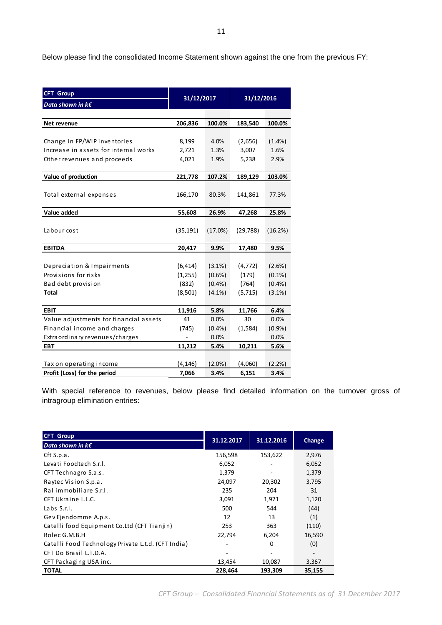Below please find the consolidated Income Statement shown against the one from the previous FY:

| <b>CFT Group</b>                       |            |           | 31/12/2016 |           |  |
|----------------------------------------|------------|-----------|------------|-----------|--|
| Data shown in k€                       | 31/12/2017 |           |            |           |  |
|                                        |            |           |            |           |  |
| Net revenue                            | 206,836    | 100.0%    | 183,540    | 100.0%    |  |
|                                        |            |           |            |           |  |
| Change in FP/WIP inventories           | 8,199      | 4.0%      | (2,656)    | (1.4% )   |  |
| Increase in assets for internal works  | 2,721      | 1.3%      | 3,007      | 1.6%      |  |
| Other revenues and proceeds            | 4,021      | 1.9%      | 5,238      | 2.9%      |  |
|                                        |            |           |            |           |  |
| Value of production                    | 221,778    | 107.2%    | 189,129    | 103.0%    |  |
|                                        |            |           |            |           |  |
| Total external expenses                | 166,170    | 80.3%     | 141,861    | 77.3%     |  |
|                                        |            |           |            |           |  |
| Value added                            | 55,608     | 26.9%     | 47,268     | 25.8%     |  |
|                                        |            |           |            |           |  |
| Labour cost                            | (35, 191)  | (17.0%)   | (29, 788)  | (16.2%)   |  |
| <b>EBITDA</b>                          | 20,417     | 9.9%      | 17,480     | 9.5%      |  |
|                                        |            |           |            |           |  |
| Depreciation & Impairments             | (6, 414)   | $(3.1\%)$ | (4, 772)   | (2.6%)    |  |
| Provisions for risks                   | (1,255)    | $(0.6\%)$ | (179)      | $(0.1\%)$ |  |
| Bad debt provision                     | (832)      | $(0.4\%)$ | (764)      | (0.4% )   |  |
| <b>Total</b>                           | (8,501)    | $(4.1\%)$ | (5, 715)   | (3.1%)    |  |
|                                        |            |           |            |           |  |
| <b>EBIT</b>                            | 11,916     | 5.8%      | 11,766     | 6.4%      |  |
| Value adjustments for financial assets | 41         | 0.0%      | 30         | 0.0%      |  |
| Financial income and charges           | (745)      | (0.4% )   | (1, 584)   | (0.9%     |  |
| Extraordinary revenues/charges         |            | 0.0%      |            | 0.0%      |  |
| <b>EBT</b>                             | 11,212     | 5.4%      | 10,211     | 5.6%      |  |
|                                        |            |           |            |           |  |
| Tax on operating income                | (4, 146)   | $(2.0\%)$ | (4,060)    | (2.2%)    |  |
| Profit (Loss) for the period           | 7,066      | 3.4%      | 6,151      | 3.4%      |  |

With special reference to revenues, below please find detailed information on the turnover gross of intragroup elimination entries:

| <b>CFT Group</b>                                   | 31.12.2017 | 31.12.2016 |        |
|----------------------------------------------------|------------|------------|--------|
| Data shown in $k \in \mathbb{R}$                   |            |            | Change |
| Cft S.p.a.                                         | 156,598    | 153,622    | 2,976  |
| Levati Foodtech S.r.I.                             | 6,052      |            | 6,052  |
| CFT Technagro S.a.s.                               | 1,379      |            | 1,379  |
| Raytec Vision S.p.a.                               | 24,097     | 20,302     | 3,795  |
| Ral immobiliare S.r.l.                             | 235        | 204        | 31     |
| CFT Ukraine L.L.C.                                 | 3,091      | 1,971      | 1,120  |
| Labs $S.r.l.$                                      | 500        | 544        | (44)   |
| Gev Ejendomme A.p.s.                               | 12         | 13         | (1)    |
| Catelli food Equipment Co.Ltd (CFT Tianjin)        | 253        | 363        | (110)  |
| Rolec G.M.B.H                                      | 22,794     | 6,204      | 16,590 |
| Catelli Food Technology Private L.t.d. (CFT India) |            | 0          | (0)    |
| CFT Do Brasil L.T.D.A.                             |            |            |        |
| CFT Packaging USA inc.                             | 13,454     | 10,087     | 3,367  |
| <b>TOTAL</b>                                       | 228,464    | 193,309    | 35,155 |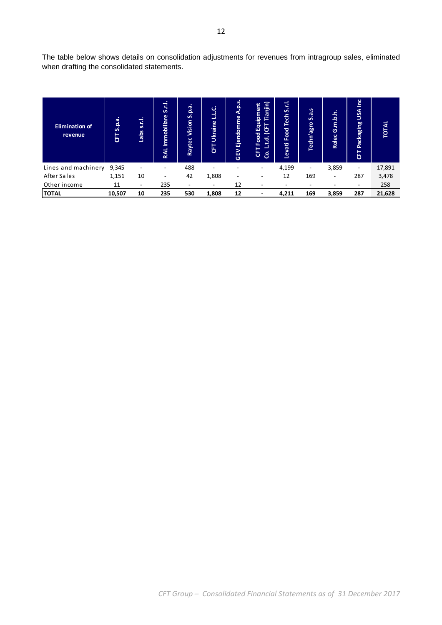The table below shows details on consolidation adjustments for revenues from intragroup sales, eliminated when drafting the consolidated statements.

| <b>Elimination of</b><br>revenue | S.p.a.<br>동 | s.r.l.<br><b>ads</b>     | S.r.I.<br>Immobiliare<br>RAL | é.q.<br>S<br>Vision<br>Raytec | LLC.<br>Ukraine<br>독 | A.p.s.<br>Ejendomme<br>GEV | Tianjin)<br>ent<br>Equipme<br>෪<br>Food<br>t.<br>ဒ္ပႆ<br><u>ზ</u> | 립<br><b>i</b><br>ech<br>⊢<br>Food<br>Levati | S.a.s<br>Techn'agro      | .h.h<br>G.M<br>Rolec | $\tilde{a}$<br>USA<br><b>Packaging</b><br>ET | TOTAL  |
|----------------------------------|-------------|--------------------------|------------------------------|-------------------------------|----------------------|----------------------------|-------------------------------------------------------------------|---------------------------------------------|--------------------------|----------------------|----------------------------------------------|--------|
| Lines and machinery              | 9,345       |                          |                              | 488                           |                      |                            |                                                                   | 4,199                                       | $\overline{\phantom{a}}$ | 3,859                | Ξ.                                           | 17,891 |
| After Sales                      | 1,151       | 10                       |                              | 42                            | 1,808                | -                          |                                                                   | 12                                          | 169                      | -                    | 287                                          | 3,478  |
| Other income                     | 11          | $\overline{\phantom{a}}$ | 235                          | $\overline{\phantom{a}}$      |                      | 12                         |                                                                   |                                             |                          |                      | ۰                                            | 258    |
| <b>TOTAL</b>                     | 10,507      | 10                       | 235                          | 530                           | 1,808                | 12                         |                                                                   | 4,211                                       | 169                      | 3,859                | 287                                          | 21,628 |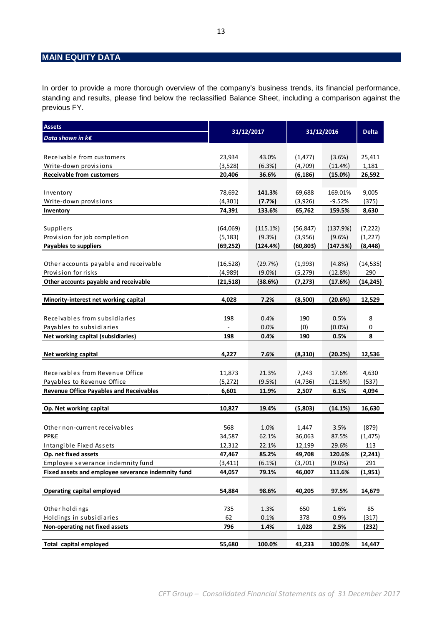## **MAIN EQUITY DATA**

In order to provide a more thorough overview of the company's business trends, its financial performance, standing and results, please find below the reclassified Balance Sheet, including a comparison against the previous FY.

| <b>Assets</b>                                                  | 31/12/2017 |              |            |                   |              |  |
|----------------------------------------------------------------|------------|--------------|------------|-------------------|--------------|--|
| Data shown in $k \in$                                          |            |              |            | 31/12/2016        | <b>Delta</b> |  |
|                                                                |            |              |            |                   |              |  |
| Receivable from customers                                      | 23,934     | 43.0%        | (1, 477)   | (3.6%)            | 25,411       |  |
| Write-down provisions                                          | (3,528)    | (6.3%)       | (4,709)    | (11.4%            | 1,181        |  |
| <b>Receivable from customers</b>                               | 20,406     | 36.6%        | (6,186)    | (15.0%)           | 26,592       |  |
|                                                                |            |              |            |                   |              |  |
| Inventory                                                      | 78,692     | 141.3%       | 69,688     | 169.01%           | 9,005        |  |
| Write-down provisions                                          | (4, 301)   | (7.7%)       | (3,926)    | $-9.52%$          | (375)        |  |
| Inventory                                                      | 74,391     | 133.6%       | 65,762     | 159.5%            | 8,630        |  |
|                                                                |            |              |            |                   |              |  |
| Suppliers                                                      | (64,069)   | (115.1%)     | (56, 847)  | (137.9%)          | (7, 222)     |  |
| Provision for job completion                                   | (5, 183)   | (9.3%)       | (3,956)    | (9.6%)            | (1,227)      |  |
| Payables to suppliers                                          | (69,252)   | (124.4%)     | (60, 803)  | (147.5%)          | (8, 448)     |  |
|                                                                |            |              |            |                   |              |  |
| Other accounts payable and receivable                          | (16, 528)  | (29.7%)      | (1,993)    | (4.8%)            | (14, 535)    |  |
| Provision for risks                                            | (4,989)    | $(9.0\%)$    | (5, 279)   | (12.8%)           | 290          |  |
| Other accounts payable and receivable                          | (21,518)   | (38.6%)      | (7, 273)   | (17.6%)           | (14,245)     |  |
|                                                                |            |              |            |                   |              |  |
| Minority-interest net working capital                          | 4,028      | 7.2%         | (8,500)    | (20.6%)           | 12,529       |  |
|                                                                |            |              |            |                   |              |  |
| Receivables from subsidiaries                                  | 198        | 0.4%         | 190        | 0.5%              | 8            |  |
| Payables to subsidiaries<br>Net working capital (subsidiaries) | 198        | 0.0%<br>0.4% | (0)<br>190 | $(0.0\%)$<br>0.5% | 0<br>8       |  |
|                                                                |            |              |            |                   |              |  |
| Net working capital                                            | 4,227      | 7.6%         | (8, 310)   | (20.2%)           | 12,536       |  |
|                                                                |            |              |            |                   |              |  |
| Receivables from Revenue Office                                | 11,873     | 21.3%        | 7,243      | 17.6%             | 4,630        |  |
| Payables to Revenue Office                                     | (5, 272)   | (9.5%)       | (4, 736)   | (11.5%)           | (537)        |  |
| <b>Revenue Office Payables and Receivables</b>                 | 6,601      | 11.9%        | 2,507      | 6.1%              | 4,094        |  |
|                                                                |            |              |            |                   |              |  |
| Op. Net working capital                                        | 10,827     | 19.4%        | (5,803)    | (14.1%)           | 16,630       |  |
|                                                                |            |              |            |                   |              |  |
| Other non-current receivables                                  | 568        | 1.0%         | 1,447      | 3.5%              | (879)        |  |
| PP&E                                                           | 34,587     | 62.1%        | 36,063     | 87.5%             | (1, 475)     |  |
| Intangible Fixed Assets                                        | 12,312     | 22.1%        | 12,199     | 29.6%             | 113          |  |
| Op. net fixed assets                                           | 47,467     | 85.2%        | 49,708     | 120.6%            | (2, 241)     |  |
| Employee severance indemnity fund                              | (3, 411)   | (6.1%)       | (3,701)    | $(9.0\%)$         | 291          |  |
| Fixed assets and employee severance indemnity fund             | 44,057     | 79.1%        | 46,007     | 111.6%            | (1,951)      |  |
|                                                                |            |              |            |                   |              |  |
| Operating capital employed                                     | 54,884     | 98.6%        | 40,205     | 97.5%             | 14,679       |  |
|                                                                |            |              |            |                   |              |  |
| Other holdings                                                 | 735        | 1.3%         | 650        | 1.6%              | 85           |  |
| Holdings in subsidiaries                                       | 62         | 0.1%         | 378        | 0.9%              | (317)        |  |
| Non-operating net fixed assets                                 | 796        | 1.4%         | 1,028      | 2.5%              | (232)        |  |
|                                                                |            |              |            |                   |              |  |
| <b>Total capital employed</b>                                  | 55,680     | 100.0%       | 41,233     | 100.0%            | 14,447       |  |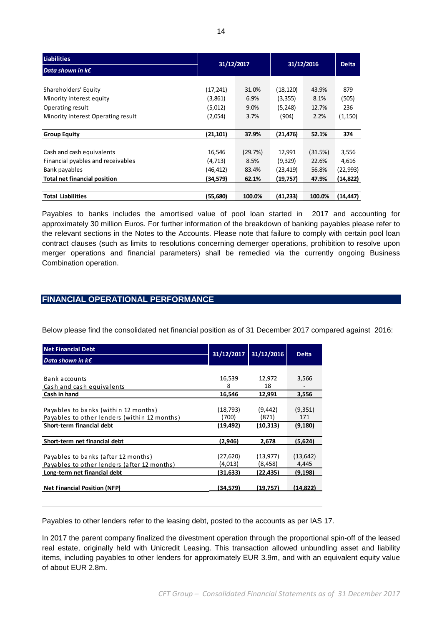| <b>Liabilities</b>                  |            |         | 31/12/2016 |         | <b>Delta</b> |
|-------------------------------------|------------|---------|------------|---------|--------------|
| Data shown in $k\epsilon$           | 31/12/2017 |         |            |         |              |
|                                     |            |         |            |         |              |
| Shareholders' Equity                | (17,241)   | 31.0%   | (18,120)   | 43.9%   | 879          |
| Minority interest equity            | (3,861)    | 6.9%    | (3, 355)   | 8.1%    | (505)        |
| Operating result                    | (5,012)    | 9.0%    | (5, 248)   | 12.7%   | 236          |
| Minority interest Operating result  | (2,054)    | 3.7%    | (904)      | 2.2%    | (1, 150)     |
|                                     |            |         |            |         |              |
| <b>Group Equity</b>                 | (21,101)   | 37.9%   | (21, 476)  | 52.1%   | 374          |
|                                     |            |         |            |         |              |
| Cash and cash equivalents           | 16,546     | (29.7%) | 12,991     | (31.5%) | 3,556        |
| Financial pyables and receivables   | (4, 713)   | 8.5%    | (9,329)    | 22.6%   | 4,616        |
| Bank payables                       | (46,412)   | 83.4%   | (23,419)   | 56.8%   | (22, 993)    |
| <b>Total net financial position</b> | (34,579)   | 62.1%   | (19, 757)  | 47.9%   | (14, 822)    |
|                                     |            |         |            |         |              |
| <b>Total Liabilities</b>            | (55,680)   | 100.0%  | (41,233)   | 100.0%  | (14, 447)    |

Payables to banks includes the amortised value of pool loan started in 2017 and accounting for approximately 30 million Euros. For further information of the breakdown of banking payables please refer to the relevant sections in the Notes to the Accounts. Please note that failure to comply with certain pool loan contract clauses (such as limits to resolutions concerning demerger operations, prohibition to resolve upon merger operations and financial parameters) shall be remedied via the currently ongoing Business Combination operation.

## **FINANCIAL OPERATIONAL PERFORMANCE**

Below please find the consolidated net financial position as of 31 December 2017 compared against 2016:

| <b>Net Financial Debt</b>                    | 31/12/2017 | 31/12/2016 | <b>Delta</b> |
|----------------------------------------------|------------|------------|--------------|
| Data shown in $k \in \mathbb{C}$             |            |            |              |
|                                              |            |            |              |
| Bank accounts                                | 16,539     | 12,972     | 3,566        |
| Cash and cash equivalents                    | 8          | 18         |              |
| Cash in hand                                 | 16,546     | 12,991     | 3,556        |
|                                              |            |            |              |
| Payables to banks (within 12 months)         | (18,793)   | (9, 442)   | (9, 351)     |
| Payables to other lenders (within 12 months) | (700)      | (871)      | 171          |
| Short-term financial debt                    | (19,492)   | (10,313)   | (9, 180)     |
|                                              |            |            |              |
| Short-term net financial debt                | (2,946)    | 2,678      | (5,624)      |
|                                              |            |            |              |
| Payables to banks (after 12 months)          | (27,620)   | (13,977)   | (13, 642)    |
| Payables to other lenders (after 12 months)  | (4,013)    | (8,458)    | 4,445        |
| Long-term net financial debt                 | (31,633)   | (22,435)   | (9,198)      |
|                                              |            |            |              |
| <b>Net Financial Position (NFP)</b>          | (34.579)   | (19.757)   | (14.822)     |
|                                              |            |            |              |

Payables to other lenders refer to the leasing debt, posted to the accounts as per IAS 17.

In 2017 the parent company finalized the divestment operation through the proportional spin-off of the leased real estate, originally held with Unicredit Leasing. This transaction allowed unbundling asset and liability items, including payables to other lenders for approximately EUR 3.9m, and with an equivalent equity value of about EUR 2.8m.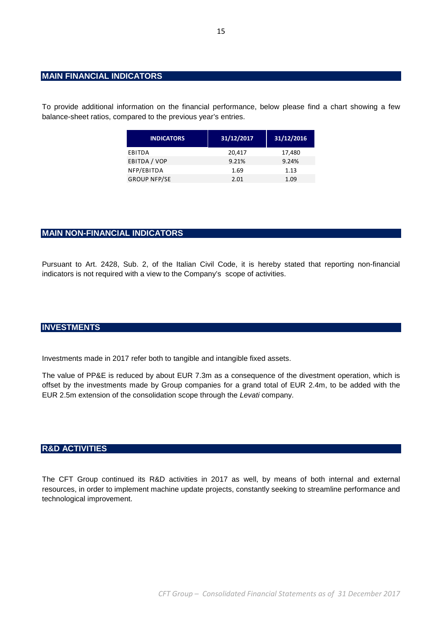## **MAIN FINANCIAL INDICATORS**

To provide additional information on the financial performance, below please find a chart showing a few balance-sheet ratios, compared to the previous year's entries.

| <b>INDICATORS</b>   | 31/12/2017 | 31/12/2016 |
|---------------------|------------|------------|
| EBITDA              | 20,417     | 17,480     |
| EBITDA / VOP        | 9.21%      | 9.24%      |
| NFP/EBITDA          | 1.69       | 1.13       |
| <b>GROUP NFP/SE</b> | 2.01       | 1.09       |

## **MAIN NON-FINANCIAL INDICATORS**

Pursuant to Art. 2428, Sub. 2, of the Italian Civil Code, it is hereby stated that reporting non-financial indicators is not required with a view to the Company's scope of activities.

## **INVESTMENTS**

Investments made in 2017 refer both to tangible and intangible fixed assets.

The value of PP&E is reduced by about EUR 7.3m as a consequence of the divestment operation, which is offset by the investments made by Group companies for a grand total of EUR 2.4m, to be added with the EUR 2.5m extension of the consolidation scope through the Levati company.

### **R&D ACTIVITIES**

The CFT Group continued its R&D activities in 2017 as well, by means of both internal and external resources, in order to implement machine update projects, constantly seeking to streamline performance and technological improvement.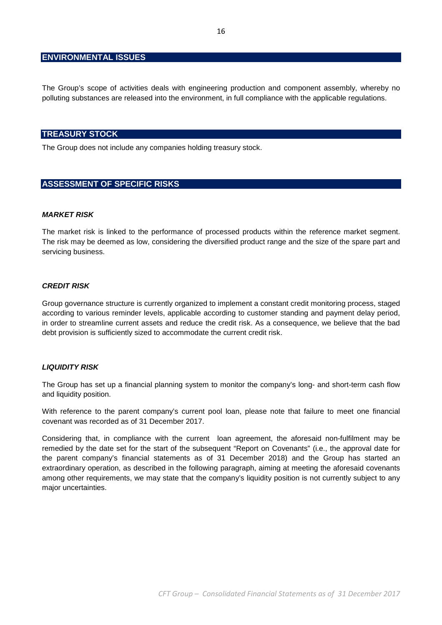### **ENVIRONMENTAL ISSUES**

The Group's scope of activities deals with engineering production and component assembly, whereby no polluting substances are released into the environment, in full compliance with the applicable regulations.

### **TREASURY STOCK**

The Group does not include any companies holding treasury stock.

## **ASSESSMENT OF SPECIFIC RISKS**

### **MARKET RISK**

The market risk is linked to the performance of processed products within the reference market segment. The risk may be deemed as low, considering the diversified product range and the size of the spare part and servicing business.

#### **CREDIT RISK**

Group governance structure is currently organized to implement a constant credit monitoring process, staged according to various reminder levels, applicable according to customer standing and payment delay period, in order to streamline current assets and reduce the credit risk. As a consequence, we believe that the bad debt provision is sufficiently sized to accommodate the current credit risk.

#### **LIQUIDITY RISK**

The Group has set up a financial planning system to monitor the company's long- and short-term cash flow and liquidity position.

With reference to the parent company's current pool loan, please note that failure to meet one financial covenant was recorded as of 31 December 2017.

Considering that, in compliance with the current loan agreement, the aforesaid non-fulfilment may be remedied by the date set for the start of the subsequent "Report on Covenants" (i.e., the approval date for the parent company's financial statements as of 31 December 2018) and the Group has started an extraordinary operation, as described in the following paragraph, aiming at meeting the aforesaid covenants among other requirements, we may state that the company's liquidity position is not currently subject to any major uncertainties.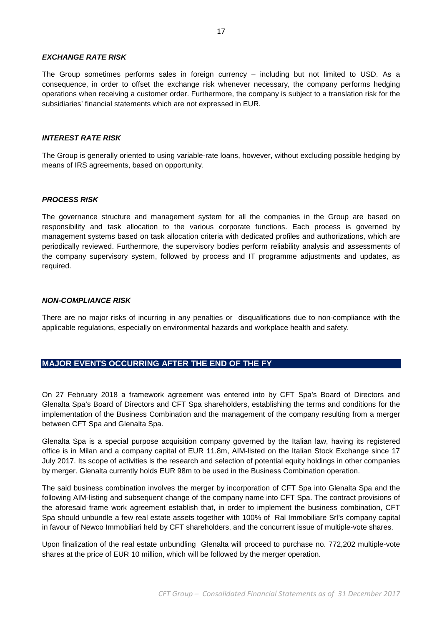#### **EXCHANGE RATE RISK**

The Group sometimes performs sales in foreign currency – including but not limited to USD. As a consequence, in order to offset the exchange risk whenever necessary, the company performs hedging operations when receiving a customer order. Furthermore, the company is subject to a translation risk for the subsidiaries' financial statements which are not expressed in EUR.

#### **INTEREST RATE RISK**

The Group is generally oriented to using variable-rate loans, however, without excluding possible hedging by means of IRS agreements, based on opportunity.

### **PROCESS RISK**

The governance structure and management system for all the companies in the Group are based on responsibility and task allocation to the various corporate functions. Each process is governed by management systems based on task allocation criteria with dedicated profiles and authorizations, which are periodically reviewed. Furthermore, the supervisory bodies perform reliability analysis and assessments of the company supervisory system, followed by process and IT programme adjustments and updates, as required.

#### **NON-COMPLIANCE RISK**

There are no major risks of incurring in any penalties or disqualifications due to non-compliance with the applicable regulations, especially on environmental hazards and workplace health and safety.

## **MAJOR EVENTS OCCURRING AFTER THE END OF THE FY**

On 27 February 2018 a framework agreement was entered into by CFT Spa's Board of Directors and Glenalta Spa's Board of Directors and CFT Spa shareholders, establishing the terms and conditions for the implementation of the Business Combination and the management of the company resulting from a merger between CFT Spa and Glenalta Spa.

Glenalta Spa is a special purpose acquisition company governed by the Italian law, having its registered office is in Milan and a company capital of EUR 11.8m, AIM-listed on the Italian Stock Exchange since 17 July 2017. Its scope of activities is the research and selection of potential equity holdings in other companies by merger. Glenalta currently holds EUR 98m to be used in the Business Combination operation.

The said business combination involves the merger by incorporation of CFT Spa into Glenalta Spa and the following AIM-listing and subsequent change of the company name into CFT Spa. The contract provisions of the aforesaid frame work agreement establish that, in order to implement the business combination, CFT Spa should unbundle a few real estate assets together with 100% of Ral Immobiliare Srl's company capital in favour of Newco Immobiliari held by CFT shareholders, and the concurrent issue of multiple-vote shares.

Upon finalization of the real estate unbundling Glenalta will proceed to purchase no. 772,202 multiple-vote shares at the price of EUR 10 million, which will be followed by the merger operation.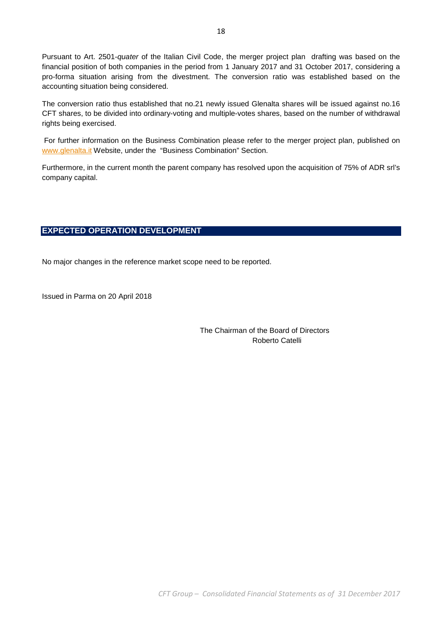Pursuant to Art. 2501-quater of the Italian Civil Code, the merger project plan drafting was based on the financial position of both companies in the period from 1 January 2017 and 31 October 2017, considering a pro-forma situation arising from the divestment. The conversion ratio was established based on the accounting situation being considered.

The conversion ratio thus established that no.21 newly issued Glenalta shares will be issued against no.16 CFT shares, to be divided into ordinary-voting and multiple-votes shares, based on the number of withdrawal rights being exercised.

 For further information on the Business Combination please refer to the merger project plan, published on www.glenalta.it Website, under the "Business Combination" Section.

Furthermore, in the current month the parent company has resolved upon the acquisition of 75% of ADR srl's company capital.

## **EXPECTED OPERATION DEVELOPMENT**

No major changes in the reference market scope need to be reported.

Issued in Parma on 20 April 2018

 The Chairman of the Board of Directors Roberto Catelli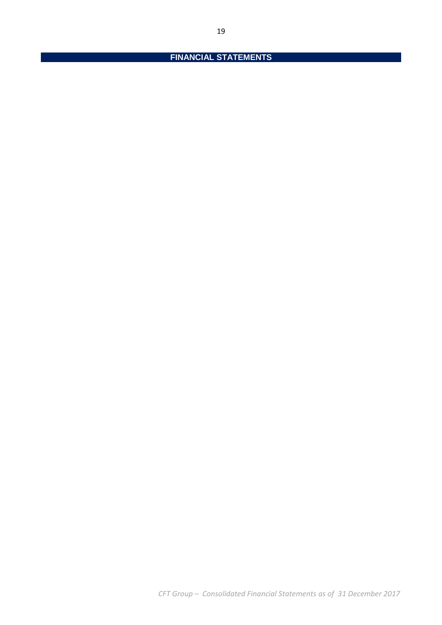# **FINANCIAL STATEMENTS**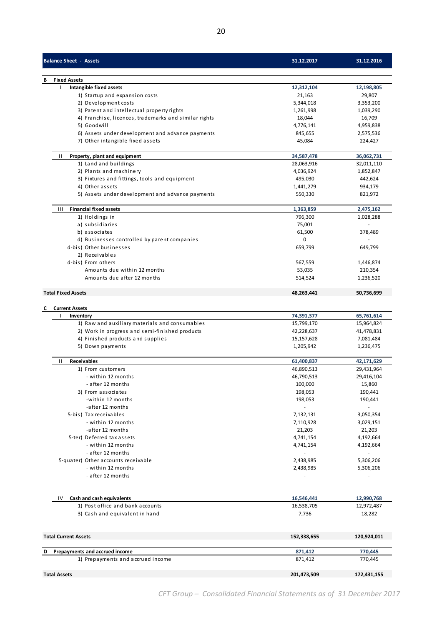| <b>Balance Sheet - Assets</b>                               | 31.12.2017               | 31.12.2016               |
|-------------------------------------------------------------|--------------------------|--------------------------|
| <b>Fixed Assets</b>                                         |                          |                          |
| Intangible fixed assets                                     | 12,312,104               | 12,198,805               |
| 1) Startup and expansion costs                              | 21,163                   | 29,807                   |
| 2) Development costs                                        | 5,344,018                | 3,353,200                |
| 3) Patent and intellectual property rights                  | 1,261,998                | 1,039,290                |
| 4) Franchise, licences, trademarks and similar rights       | 18,044                   | 16,709                   |
| 5) Goodwill                                                 | 4,776,141                | 4,959,838                |
| 6) Assets under development and advance payments            | 845,655                  | 2,575,536                |
| 7) Other intangible fixed assets                            | 45,084                   | 224,427                  |
| Ш<br>Property, plant and equipment                          | 34,587,478               | 36,062,731               |
| 1) Land and buildings                                       | 28,063,916               | 32,011,110               |
| 2) Plants and machinery                                     | 4,036,924                | 1,852,847                |
| 3) Fixtures and fittings, tools and equipment               | 495,030                  | 442,624                  |
| 4) Other assets                                             | 1,441,279                | 934,179                  |
| 5) Assets under development and advance payments            | 550,330                  | 821,972                  |
| <b>Financial fixed assets</b><br>Ш                          | 1,363,859                | 2,475,162                |
| 1) Holdings in                                              | 796,300                  | 1,028,288                |
| a) subsidiaries                                             | 75,001                   |                          |
| b) associates                                               | 61,500                   | 378,489                  |
| d) Businesses controlled by parent companies                | 0                        | $\overline{\phantom{a}}$ |
| d-bis) Other businesses                                     | 659,799                  | 649,799                  |
| 2) Receivables                                              |                          |                          |
| d-bis) From others<br>Amounts due within 12 months          | 567,559<br>53,035        | 1,446,874                |
| Amounts due after 12 months                                 | 514,524                  | 210,354<br>1,236,520     |
|                                                             |                          |                          |
| <b>Total Fixed Assets</b>                                   | 48,263,441               | 50,736,699               |
| <b>Current Assets</b>                                       |                          |                          |
| Inventory<br>1) Raw and auxiliary materials and consumables | 74,391,377<br>15,799,170 | 65,761,614<br>15,964,824 |
| 2) Work in progress and semi-finished products              | 42,228,637               | 41,478,831               |
| 4) Finished products and supplies                           | 15,157,628               | 7,081,484                |
| 5) Down payments                                            | 1,205,942                | 1,236,475                |
|                                                             |                          |                          |
| Ш<br><b>Receivables</b>                                     | 61,400,837               | 42,171,629               |
| 1) From customers<br>- within 12 months                     | 46,890,513<br>46,790,513 | 29,431,964<br>29,416,104 |
| - after 12 months                                           | 100,000                  | 15,860                   |
| 3) From associates                                          | 198,053                  | 190,441                  |
| -within 12 months                                           | 198,053                  | 190,441                  |
| -after 12 months                                            |                          |                          |
| 5-bis) Tax receivables                                      | 7,132,131                | 3,050,354                |
| - within 12 months                                          | 7,110,928                | 3,029,151                |
| -after 12 months                                            | 21,203                   | 21,203                   |
| 5-ter) Deferred tax assets                                  | 4,741,154                | 4,192,664                |
| - within 12 months                                          | 4,741,154                | 4,192,664                |
| - after 12 months                                           |                          |                          |
| 5-quater) Other accounts receivable                         | 2,438,985                | 5,306,206                |
| - within 12 months                                          | 2,438,985                | 5,306,206                |
| - after 12 months                                           |                          |                          |
| Cash and cash equivalents<br>IV                             | 16,546,441               | 12,990,768               |
| 1) Post office and bank accounts                            | 16,538,705               | 12,972,487               |
| 3) Cash and equivalent in hand                              | 7,736                    | 18,282                   |
|                                                             |                          |                          |
| <b>Total Current Assets</b>                                 | 152,338,655              | 120,924,011              |

| Prepayments and accrued income<br>D | 871.412     | 770.445     |
|-------------------------------------|-------------|-------------|
| 1) Prepayments and accrued income   | 871.412     | 770.445     |
| <b>Total Assets</b>                 | 201,473,509 | 172,431,155 |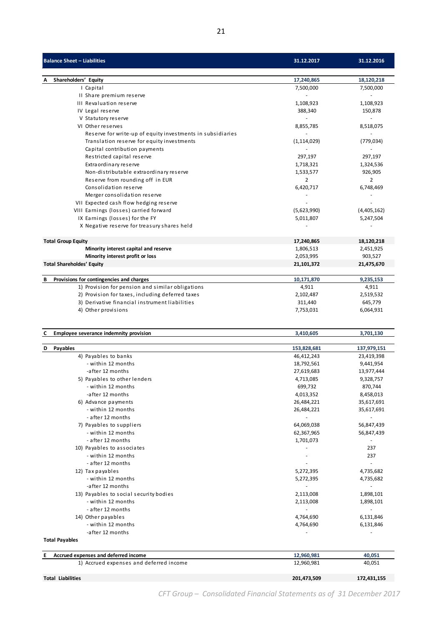| <b>Balance Sheet - Liabilities</b>                         | 31.12.2017    | 31.12.2016             |
|------------------------------------------------------------|---------------|------------------------|
|                                                            |               |                        |
| Shareholders' Equity<br>Α                                  | 17,240,865    | 18,120,218             |
| I Capital<br>II Share premium reserve                      | 7,500,000     | 7,500,000<br>$\bar{a}$ |
|                                                            |               |                        |
| III Revaluation reserve                                    | 1,108,923     | 1,108,923              |
| IV Legal reserve                                           | 388,340       | 150,878                |
| V Statutory reserve                                        |               | $\sim$                 |
| VI Other reserves                                          | 8,855,785     | 8,518,075              |
| Reserve for write-up of equity investments in subsidiaries |               |                        |
| Translation reserve for equity investments                 | (1, 114, 029) | (779, 034)             |
| Capital contribution payments                              |               | $\sim$                 |
| Restricted capital reserve                                 | 297,197       | 297,197                |
| Extraordinary reserve                                      | 1,718,321     | 1,324,536              |
| Non-distributable extraordinary reserve                    | 1,533,577     | 926,905                |
| Reserve from rounding off in EUR                           | 2             | 2                      |
| Consolidation reserve                                      | 6,420,717     | 6,748,469              |
| Merger consolidation reserve                               |               |                        |
| VII Expected cash flow hedging reserve                     |               |                        |
| VIII Earnings (losses) carried forward                     | (5,623,990)   | (4,405,162)            |
| IX Earnings (losses) for the FY                            | 5,011,807     | 5,247,504              |
| X Negative reserve for treasury shares held                |               |                        |
| <b>Total Group Equity</b>                                  | 17,240,865    | 18,120,218             |
| Minority interest capital and reserve                      | 1,806,513     | 2,451,925              |
| Minority interest profit or loss                           | 2,053,995     | 903,527                |
| <b>Total Shareholdes' Equity</b>                           | 21,101,372    | 21,475,670             |
| В<br>Provisions for contingencies and charges              | 10,171,870    | 9,235,153              |
| 1) Provision for pension and similar obligations           | 4,911         | 4,911                  |
| 2) Provision for taxes, including deferred taxes           | 2,102,487     | 2,519,532              |
| 3) Derivative financial instrument liabilities             | 311,440       | 645,779                |
| 4) Other provisions                                        | 7,753,031     | 6,064,931              |
|                                                            |               |                        |
| Employee severance indemnity provision<br>C                | 3,410,605     | 3,701,130              |
| Payables<br>D                                              | 153,828,681   | 137,979,151            |
| 4) Payables to banks                                       | 46,412,243    | 23,419,398             |
| - within 12 months                                         | 18,792,561    | 9,441,954              |
| -after 12 months                                           | 27,619,683    | 13,977,444             |
| 5) Payables to other lenders                               | 4,713,085     | 9,328,757              |
| - within 12 months                                         | 699,732       | 870,744                |
| -after 12 months                                           | 4,013,352     | 8,458,013              |
| 6) Advance payments                                        | 26,484,221    | 35,617,691             |
| - within 12 months                                         | 26,484,221    | 35,617,691             |
| - after 12 months                                          |               |                        |
| 7) Payables to suppliers                                   | 64,069,038    | 56,847,439             |
| - within 12 months                                         | 62,367,965    | 56,847,439             |
| - after 12 months                                          | 1,701,073     |                        |
| 10) Payables to associates                                 |               | 237                    |
| - within 12 months                                         |               | 237                    |
| - after 12 months                                          |               | $\blacksquare$         |
| 12) Tax payables                                           | 5,272,395     | 4,735,682              |
| - within 12 months                                         | 5,272,395     | 4,735,682              |
|                                                            |               |                        |

| <b>Total Payables</b>                      |             |             |  |  |  |  |
|--------------------------------------------|-------------|-------------|--|--|--|--|
| Accrued expenses and deferred income<br>E. | 12,960,981  | 40,051      |  |  |  |  |
| 1) Accrued expenses and deferred income    | 12,960,981  | 40,051      |  |  |  |  |
| <b>Total Liabilities</b>                   | 201,473,509 | 172,431,155 |  |  |  |  |

 $-$  within 12 months 2,113,008

14) Other payables

-after 12 months<br>Payables to social security bodies and the contract of the contract of the contract of the contract of the contra<br>Payables to social security bodies and the contract of the contract of the contract of the 13) Payables to social security bodies 2,113,008 1,898,101<br>13,998,101 - within 12 months 2,113,008 1,898,101

- after 12 months - -

- within 12 months 6,131,846  $\overline{\phantom{a}}$  -after 12 months  $\overline{\phantom{a}}$  -after 12 months  $\overline{\phantom{a}}$  -after 12 months  $\overline{\phantom{a}}$ 

*CFT Group – Consolidated Financial Statements as of 31 December 2017*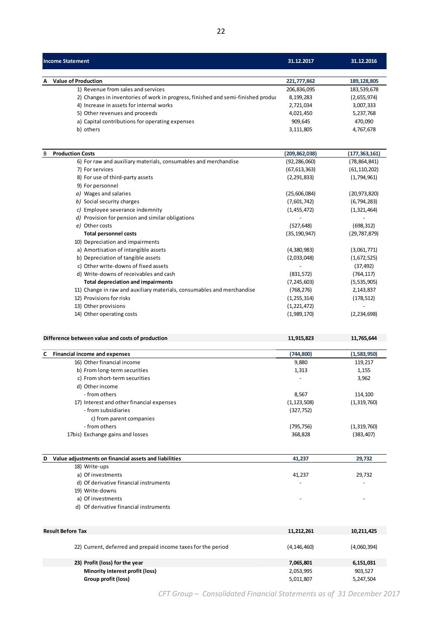| Income Statement                                                                 | 31.12.2017  | 31.12.2016    |
|----------------------------------------------------------------------------------|-------------|---------------|
| <b>A</b> Value of Production                                                     | 221,777,862 | 189, 128, 805 |
| 1) Revenue from sales and services                                               | 206,836,095 | 183,539,678   |
| 2) Changes in inventories of work in progress, finished and semi-finished produc | 8,199,283   | (2,655,974)   |
| 4) Increase in assets for internal works                                         | 2,721,034   | 3,007,333     |
| 5) Other revenues and proceeds                                                   | 4,021,450   | 5,237,768     |
| a) Capital contributions for operating expenses                                  | 909,645     | 470,090       |
| b) others                                                                        | 3,111,805   | 4,767,678     |
|                                                                                  |             |               |

| B | <b>Production Costs</b>                                                | (209,862,038)  | (177, 363, 161) |
|---|------------------------------------------------------------------------|----------------|-----------------|
|   | 6) For raw and auxiliary materials, consumables and merchandise        | (92, 286, 060) | (78, 864, 841)  |
|   | 7) For services                                                        | (67, 613, 363) | (61, 110, 202)  |
|   | 8) For use of third-party assets                                       | (2, 291, 833)  | (1,794,961)     |
|   | 9) For personnel                                                       |                |                 |
|   | a) Wages and salaries                                                  | (25,606,084)   | (20, 973, 820)  |
|   | b) Social security charges                                             | (7,601,742)    | (6, 794, 283)   |
|   | c) Employee severance indemnity                                        | (1,455,472)    | (1,321,464)     |
|   | d) Provision for pension and similar obligations                       |                |                 |
|   | e) Other costs                                                         | (527, 648)     | (698, 312)      |
|   | <b>Total personnel costs</b>                                           | (35, 190, 947) | (29, 787, 879)  |
|   | 10) Depreciation and impairments                                       |                |                 |
|   | a) Amortisation of intangible assets                                   | (4,380,983)    | (3,061,771)     |
|   | b) Depreciation of tangible assets                                     | (2,033,048)    | (1,672,525)     |
|   | c) Other write-downs of fixed assets                                   |                | (37, 492)       |
|   | d) Write-downs of receivables and cash                                 | (831, 572)     | (764, 117)      |
|   | <b>Total depreciation and impairments</b>                              | (7, 245, 603)  | (5,535,905)     |
|   | 11) Change in raw and auxiliary materials, consumables and merchandise | (768, 276)     | 2,143,837       |
|   | 12) Provisions for risks                                               | (1, 255, 314)  | (178, 512)      |
|   | 13) Other provisions                                                   | (1,221,472)    |                 |
|   | 14) Other operating costs                                              | (1,989,170)    | (2, 234, 698)   |
|   |                                                                        |                |                 |

### **Difference between value and costs of production 11,915,823** 11,915,823 11,765,644

| C Financial income and expenses           | (744, 800)    | (1,583,950) |
|-------------------------------------------|---------------|-------------|
| 16) Other financial income                | 9,880         | 119,217     |
| b) From long-term securities              | 1,313         | 1,155       |
| c) From short-term securities             |               | 3,962       |
| d) Other income                           |               |             |
| - from others                             | 8,567         | 114,100     |
| 17) Interest and other financial expenses | (1, 123, 508) | (1,319,760) |
| - from subsidiaries                       | (327, 752)    |             |
| c) from parent companies                  |               |             |
| - from others                             | (795, 756)    | (1,319,760) |
| 17bis) Exchange gains and losses          | 368,828       | (383,407)   |
|                                           |               |             |

| D | Value adjustments on financial assets and liabilities | 41,237                   | 29,732 |
|---|-------------------------------------------------------|--------------------------|--------|
|   | 18) Write-ups                                         |                          |        |
|   | a) Of investments                                     | 41,237                   | 29,732 |
|   | d) Of derivative financial instruments                | $\overline{\phantom{a}}$ | ٠      |
|   | 19) Write-downs                                       |                          |        |
|   | a) Of investments                                     | $\overline{\phantom{0}}$ |        |
|   | d) Of derivative financial instruments                |                          |        |

| <b>Result Before Tax</b>                                      | 11.212.261    | 10,211,425  |
|---------------------------------------------------------------|---------------|-------------|
| 22) Current, deferred and prepaid income taxes for the period | (4, 146, 460) | (4,060,394) |
| 23) Profit (loss) for the year                                | 7,065,801     | 6,151,031   |
| Minority interest profit (loss)                               | 2,053,995     | 903.527     |
| Group profit (loss)                                           | 5,011,807     | 5,247,504   |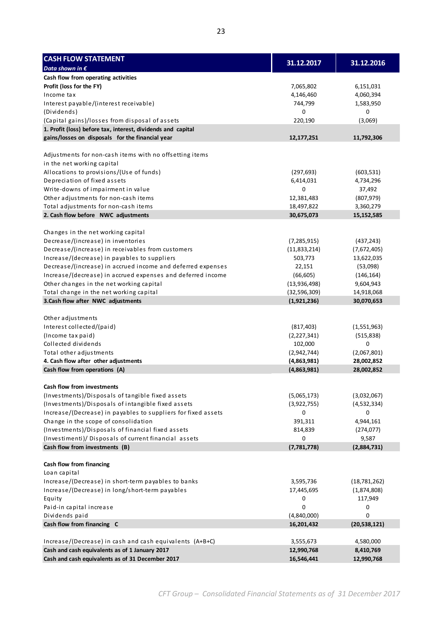| <b>CASH FLOW STATEMENT</b>                                                                                  |                     |                        |
|-------------------------------------------------------------------------------------------------------------|---------------------|------------------------|
| Data shown in $\epsilon$                                                                                    | 31.12.2017          | 31.12.2016             |
| Cash flow from operating activities                                                                         |                     |                        |
| Profit (loss for the FY)                                                                                    | 7,065,802           | 6,151,031              |
| Income tax                                                                                                  | 4,146,460           | 4,060,394              |
| Interest payable/(interest receivable)                                                                      | 744,799             | 1,583,950              |
| (Dividends)                                                                                                 | 0                   | 0                      |
| (Capital gains)/losses from disposal of assets                                                              | 220,190             | (3,069)                |
| 1. Profit (loss) before tax, interest, dividends and capital                                                |                     |                        |
| gains/losses on disposals for the financial year                                                            | 12, 177, 251        | 11,792,306             |
|                                                                                                             |                     |                        |
| Adjustments for non-cash items with no offsetting items                                                     |                     |                        |
| in the net working capital                                                                                  |                     |                        |
| Allocations to provisions/(Use of funds)                                                                    | (297, 693)          | (603, 531)             |
| Depreciation of fixed assets                                                                                | 6,414,031           | 4,734,296              |
| Write-downs of impairment in value                                                                          | 0                   | 37,492                 |
| Other adjustments for non-cash items                                                                        | 12,381,483          | (807, 979)             |
| Total adjustments for non-cash items                                                                        | 18,497,822          | 3,360,279              |
| 2. Cash flow before NWC adjustments                                                                         | 30,675,073          | 15,152,585             |
|                                                                                                             |                     |                        |
| Changes in the net working capital                                                                          |                     | (437, 243)             |
| Decrease/(increase) in inventories<br>Decrease/(increase) in receivables from customers                     | (7, 285, 915)       |                        |
|                                                                                                             | (11,833,214)        | (7,672,405)            |
| Increase/(decrease) in payables to suppliers<br>Decrease/(increase) in accrued income and deferred expenses | 503,773             | 13,622,035             |
| Increase/(decrease) in accrued expenses and deferred income                                                 | 22,151<br>(66, 605) | (53,098)<br>(146, 164) |
| Other changes in the net working capital                                                                    | (13,936,498)        | 9,604,943              |
| Total change in the net working capital                                                                     | (32, 596, 309)      | 14,918,068             |
| 3.Cash flow after NWC adjustments                                                                           | (1,921,236)         | 30,070,653             |
|                                                                                                             |                     |                        |
| Other adjustments                                                                                           |                     |                        |
| Interest collected/(paid)                                                                                   | (817, 403)          | (1,551,963)            |
| (Income tax paid)                                                                                           | (2,227,341)         | (515, 838)             |
| Collected dividends                                                                                         | 102,000             | 0                      |
| Total other adjustments                                                                                     | (2,942,744)         | (2,067,801)            |
| 4. Cash flow after other adjustments                                                                        | (4,863,981)         | 28,002,852             |
| Cash flow from operations (A)                                                                               | (4,863,981)         | 28,002,852             |
|                                                                                                             |                     |                        |
| Cash flow from investments                                                                                  |                     |                        |
| (Investments)/Disposals of tangible fixed assets                                                            | (5,065,173)         | (3,032,067)            |
| (Investments)/Disposals of intangible fixed assets                                                          | (3,922,755)         | (4,532,334)            |
| Increase/(Decrease) in payables to suppliers for fixed assets                                               | 0                   | 0                      |
| Change in the scope of consolidation                                                                        | 391,311             | 4,944,161              |
| (Investments)/Disposals of financial fixed assets                                                           | 814,839             | (274, 077)             |
| (Investimenti)/ Disposals of current financial assets                                                       | 0                   | 9,587                  |
| Cash flow from investments (B)                                                                              | (7, 781, 778)       | (2,884,731)            |
| Cash flow from financing                                                                                    |                     |                        |
| Loan capital                                                                                                |                     |                        |
| Increase/(Decrease) in short-term payables to banks                                                         | 3,595,736           | (18, 781, 262)         |
| Increase/(Decrease) in long/short-term payables                                                             | 17,445,695          | (1,874,808)            |
| Equity                                                                                                      | 0                   | 117,949                |
| Paid-in capital increase                                                                                    | 0                   | 0                      |
| Dividends paid                                                                                              | (4,840,000)         | 0                      |
| Cash flow from financing C                                                                                  | 16,201,432          | (20, 538, 121)         |
|                                                                                                             |                     |                        |
| Increase/(Decrease) in cash and cash equivalents (A+B+C)                                                    | 3,555,673           | 4,580,000              |
| Cash and cash equivalents as of 1 January 2017                                                              | 12,990,768          | 8,410,769              |
| Cash and cash equivalents as of 31 December 2017                                                            | 16,546,441          | 12,990,768             |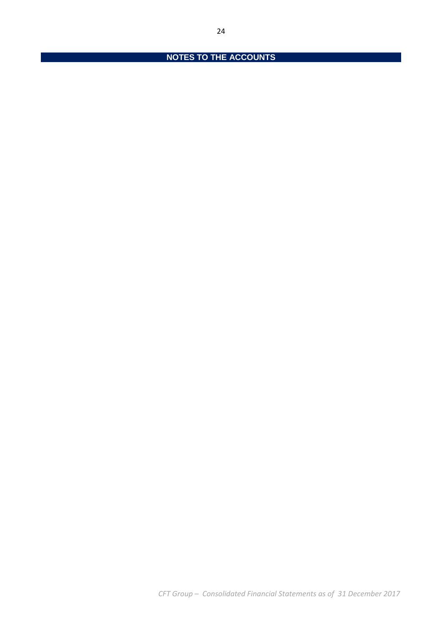# **NOTES TO THE ACCOUNTS**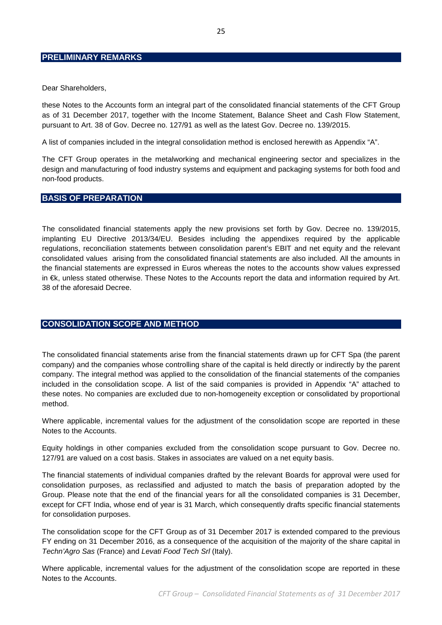## **PRELIMINARY REMARKS**

Dear Shareholders,

these Notes to the Accounts form an integral part of the consolidated financial statements of the CFT Group as of 31 December 2017, together with the Income Statement, Balance Sheet and Cash Flow Statement, pursuant to Art. 38 of Gov. Decree no. 127/91 as well as the latest Gov. Decree no. 139/2015.

A list of companies included in the integral consolidation method is enclosed herewith as Appendix "A".

The CFT Group operates in the metalworking and mechanical engineering sector and specializes in the design and manufacturing of food industry systems and equipment and packaging systems for both food and non-food products.

#### **BASIS OF PREPARATION**

The consolidated financial statements apply the new provisions set forth by Gov. Decree no. 139/2015, implanting EU Directive 2013/34/EU. Besides including the appendixes required by the applicable regulations, reconciliation statements between consolidation parent's EBIT and net equity and the relevant consolidated values arising from the consolidated financial statements are also included. All the amounts in the financial statements are expressed in Euros whereas the notes to the accounts show values expressed in €k, unless stated otherwise. These Notes to the Accounts report the data and information required by Art. 38 of the aforesaid Decree.

## **CONSOLIDATION SCOPE AND METHOD**

The consolidated financial statements arise from the financial statements drawn up for CFT Spa (the parent company) and the companies whose controlling share of the capital is held directly or indirectly by the parent company. The integral method was applied to the consolidation of the financial statements of the companies included in the consolidation scope. A list of the said companies is provided in Appendix "A" attached to these notes. No companies are excluded due to non-homogeneity exception or consolidated by proportional method.

Where applicable, incremental values for the adjustment of the consolidation scope are reported in these Notes to the Accounts.

Equity holdings in other companies excluded from the consolidation scope pursuant to Gov. Decree no. 127/91 are valued on a cost basis. Stakes in associates are valued on a net equity basis.

The financial statements of individual companies drafted by the relevant Boards for approval were used for consolidation purposes, as reclassified and adjusted to match the basis of preparation adopted by the Group. Please note that the end of the financial years for all the consolidated companies is 31 December, except for CFT India, whose end of year is 31 March, which consequently drafts specific financial statements for consolidation purposes.

The consolidation scope for the CFT Group as of 31 December 2017 is extended compared to the previous FY ending on 31 December 2016, as a consequence of the acquisition of the majority of the share capital in Techn'Agro Sas (France) and Levati Food Tech Srl (Italy).

Where applicable, incremental values for the adjustment of the consolidation scope are reported in these Notes to the Accounts.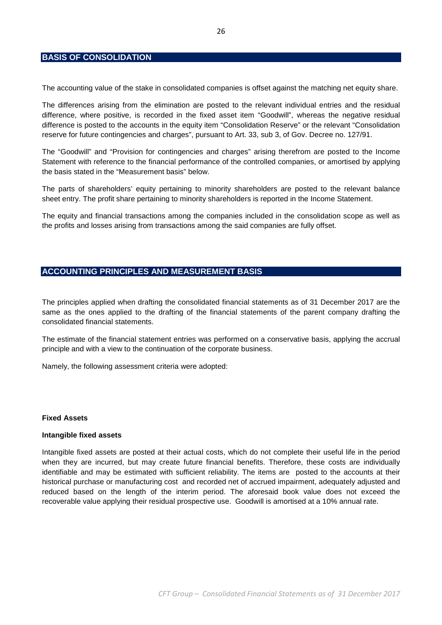## **BASIS OF CONSOLIDATION**

The accounting value of the stake in consolidated companies is offset against the matching net equity share.

The differences arising from the elimination are posted to the relevant individual entries and the residual difference, where positive, is recorded in the fixed asset item "Goodwill", whereas the negative residual difference is posted to the accounts in the equity item "Consolidation Reserve" or the relevant "Consolidation reserve for future contingencies and charges", pursuant to Art. 33, sub 3, of Gov. Decree no. 127/91.

The "Goodwill" and "Provision for contingencies and charges" arising therefrom are posted to the Income Statement with reference to the financial performance of the controlled companies, or amortised by applying the basis stated in the "Measurement basis" below.

The parts of shareholders' equity pertaining to minority shareholders are posted to the relevant balance sheet entry. The profit share pertaining to minority shareholders is reported in the Income Statement.

The equity and financial transactions among the companies included in the consolidation scope as well as the profits and losses arising from transactions among the said companies are fully offset.

## **ACCOUNTING PRINCIPLES AND MEASUREMENT BASIS**

The principles applied when drafting the consolidated financial statements as of 31 December 2017 are the same as the ones applied to the drafting of the financial statements of the parent company drafting the consolidated financial statements.

The estimate of the financial statement entries was performed on a conservative basis, applying the accrual principle and with a view to the continuation of the corporate business.

Namely, the following assessment criteria were adopted:

#### **Fixed Assets**

#### **Intangible fixed assets**

Intangible fixed assets are posted at their actual costs, which do not complete their useful life in the period when they are incurred, but may create future financial benefits. Therefore, these costs are individually identifiable and may be estimated with sufficient reliability. The items are posted to the accounts at their historical purchase or manufacturing cost and recorded net of accrued impairment, adequately adjusted and reduced based on the length of the interim period. The aforesaid book value does not exceed the recoverable value applying their residual prospective use. Goodwill is amortised at a 10% annual rate.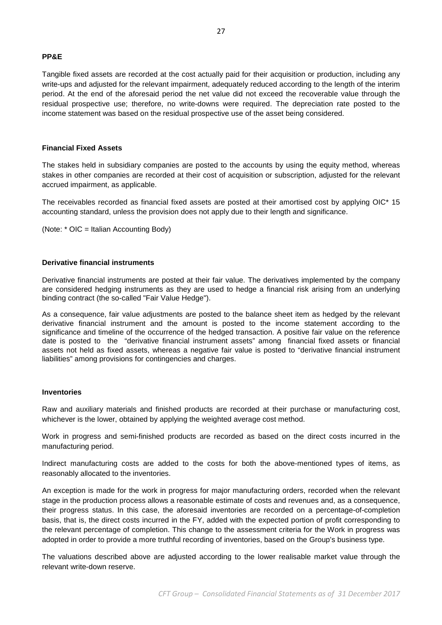### **PP&E**

Tangible fixed assets are recorded at the cost actually paid for their acquisition or production, including any write-ups and adjusted for the relevant impairment, adequately reduced according to the length of the interim period. At the end of the aforesaid period the net value did not exceed the recoverable value through the residual prospective use; therefore, no write-downs were required. The depreciation rate posted to the income statement was based on the residual prospective use of the asset being considered.

### **Financial Fixed Assets**

The stakes held in subsidiary companies are posted to the accounts by using the equity method, whereas stakes in other companies are recorded at their cost of acquisition or subscription, adjusted for the relevant accrued impairment, as applicable.

The receivables recorded as financial fixed assets are posted at their amortised cost by applying OIC\* 15 accounting standard, unless the provision does not apply due to their length and significance.

(Note: \* OIC = Italian Accounting Body)

### **Derivative financial instruments**

Derivative financial instruments are posted at their fair value. The derivatives implemented by the company are considered hedging instruments as they are used to hedge a financial risk arising from an underlying binding contract (the so-called "Fair Value Hedge").

As a consequence, fair value adjustments are posted to the balance sheet item as hedged by the relevant derivative financial instrument and the amount is posted to the income statement according to the significance and timeline of the occurrence of the hedged transaction. A positive fair value on the reference date is posted to the "derivative financial instrument assets" among financial fixed assets or financial assets not held as fixed assets, whereas a negative fair value is posted to "derivative financial instrument liabilities" among provisions for contingencies and charges.

#### **Inventories**

Raw and auxiliary materials and finished products are recorded at their purchase or manufacturing cost, whichever is the lower, obtained by applying the weighted average cost method.

Work in progress and semi-finished products are recorded as based on the direct costs incurred in the manufacturing period.

Indirect manufacturing costs are added to the costs for both the above-mentioned types of items, as reasonably allocated to the inventories.

An exception is made for the work in progress for major manufacturing orders, recorded when the relevant stage in the production process allows a reasonable estimate of costs and revenues and, as a consequence, their progress status. In this case, the aforesaid inventories are recorded on a percentage-of-completion basis, that is, the direct costs incurred in the FY, added with the expected portion of profit corresponding to the relevant percentage of completion. This change to the assessment criteria for the Work in progress was adopted in order to provide a more truthful recording of inventories, based on the Group's business type.

The valuations described above are adjusted according to the lower realisable market value through the relevant write-down reserve.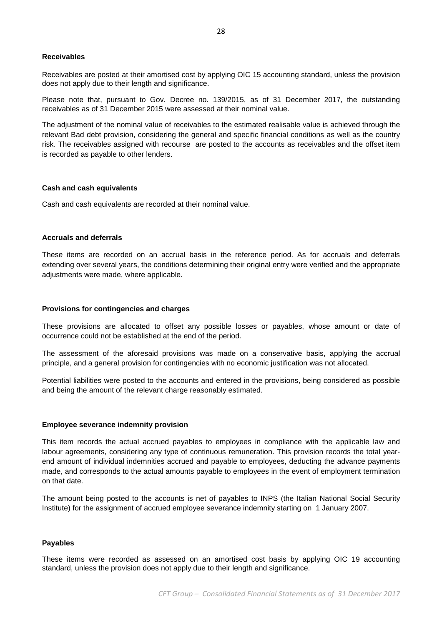#### **Receivables**

Receivables are posted at their amortised cost by applying OIC 15 accounting standard, unless the provision does not apply due to their length and significance.

Please note that, pursuant to Gov. Decree no. 139/2015, as of 31 December 2017, the outstanding receivables as of 31 December 2015 were assessed at their nominal value.

The adjustment of the nominal value of receivables to the estimated realisable value is achieved through the relevant Bad debt provision, considering the general and specific financial conditions as well as the country risk. The receivables assigned with recourse are posted to the accounts as receivables and the offset item is recorded as payable to other lenders.

#### **Cash and cash equivalents**

Cash and cash equivalents are recorded at their nominal value.

#### **Accruals and deferrals**

These items are recorded on an accrual basis in the reference period. As for accruals and deferrals extending over several years, the conditions determining their original entry were verified and the appropriate adjustments were made, where applicable.

#### **Provisions for contingencies and charges**

These provisions are allocated to offset any possible losses or payables, whose amount or date of occurrence could not be established at the end of the period.

The assessment of the aforesaid provisions was made on a conservative basis, applying the accrual principle, and a general provision for contingencies with no economic justification was not allocated.

Potential liabilities were posted to the accounts and entered in the provisions, being considered as possible and being the amount of the relevant charge reasonably estimated.

#### **Employee severance indemnity provision**

This item records the actual accrued payables to employees in compliance with the applicable law and labour agreements, considering any type of continuous remuneration. This provision records the total yearend amount of individual indemnities accrued and payable to employees, deducting the advance payments made, and corresponds to the actual amounts payable to employees in the event of employment termination on that date.

The amount being posted to the accounts is net of payables to INPS (the Italian National Social Security Institute) for the assignment of accrued employee severance indemnity starting on 1 January 2007.

#### **Payables**

These items were recorded as assessed on an amortised cost basis by applying OIC 19 accounting standard, unless the provision does not apply due to their length and significance.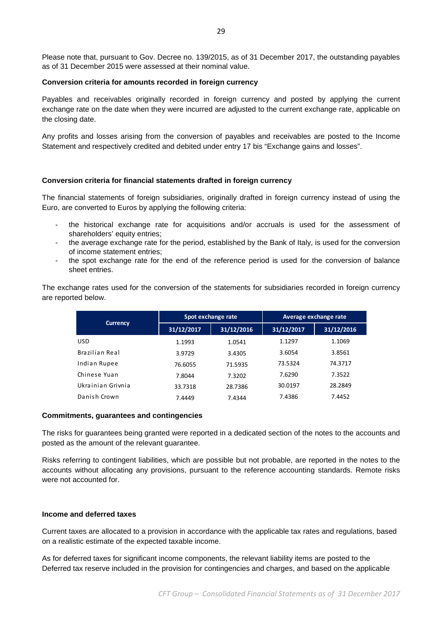Please note that, pursuant to Gov. Decree no. 139/2015, as of 31 December 2017, the outstanding payables as of 31 December 2015 were assessed at their nominal value.

#### **Conversion criteria for amounts recorded in foreign currency**

Payables and receivables originally recorded in foreign currency and posted by applying the current exchange rate on the date when they were incurred are adjusted to the current exchange rate, applicable on the closing date.

Any profits and losses arising from the conversion of payables and receivables are posted to the Income Statement and respectively credited and debited under entry 17 bis "Exchange gains and losses".

### **Conversion criteria for financial statements drafted in foreign currency**

The financial statements of foreign subsidiaries, originally drafted in foreign currency instead of using the Euro, are converted to Euros by applying the following criteria:

- the historical exchange rate for acquisitions and/or accruals is used for the assessment of shareholders' equity entries;
- the average exchange rate for the period, established by the Bank of Italy, is used for the conversion of income statement entries;
- the spot exchange rate for the end of the reference period is used for the conversion of balance sheet entries.

The exchange rates used for the conversion of the statements for subsidiaries recorded in foreign currency are reported below.

| <b>Currency</b>   |            | Spot exchange rate | Average exchange rate |            |  |  |
|-------------------|------------|--------------------|-----------------------|------------|--|--|
|                   | 31/12/2017 | 31/12/2016         | 31/12/2017            | 31/12/2016 |  |  |
| <b>USD</b>        | 1.1993     | 1.0541             | 1.1297                | 1.1069     |  |  |
| Brazilian Real    | 3.9729     | 3.4305             | 3.6054                | 3.8561     |  |  |
| Indian Rupee      | 76.6055    | 71.5935            | 73.5324               | 74.3717    |  |  |
| Chinese Yuan      | 7.8044     | 7.3202             | 7.6290                | 7.3522     |  |  |
| Ukrainian Grivnia | 33.7318    | 28.7386            | 30.0197               | 28.2849    |  |  |
| Danish Crown      | 7.4449     | 7.4344             | 7.4386                | 7.4452     |  |  |

#### **Commitments, guarantees and contingencies**

The risks for guarantees being granted were reported in a dedicated section of the notes to the accounts and posted as the amount of the relevant guarantee.

Risks referring to contingent liabilities, which are possible but not probable, are reported in the notes to the accounts without allocating any provisions, pursuant to the reference accounting standards. Remote risks were not accounted for.

### **Income and deferred taxes**

Current taxes are allocated to a provision in accordance with the applicable tax rates and regulations, based on a realistic estimate of the expected taxable income.

As for deferred taxes for significant income components, the relevant liability items are posted to the Deferred tax reserve included in the provision for contingencies and charges, and based on the applicable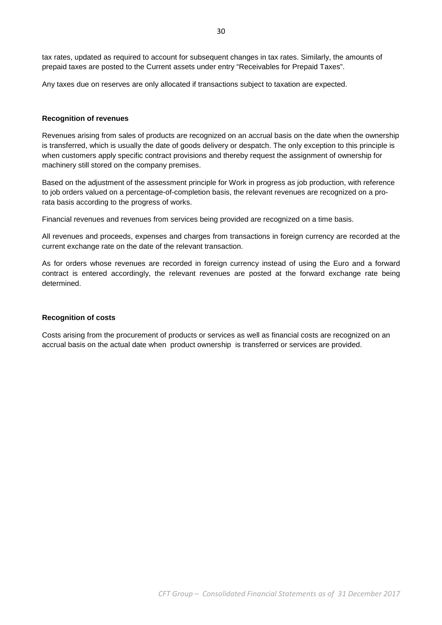tax rates, updated as required to account for subsequent changes in tax rates. Similarly, the amounts of prepaid taxes are posted to the Current assets under entry "Receivables for Prepaid Taxes".

Any taxes due on reserves are only allocated if transactions subject to taxation are expected.

#### **Recognition of revenues**

Revenues arising from sales of products are recognized on an accrual basis on the date when the ownership is transferred, which is usually the date of goods delivery or despatch. The only exception to this principle is when customers apply specific contract provisions and thereby request the assignment of ownership for machinery still stored on the company premises.

Based on the adjustment of the assessment principle for Work in progress as job production, with reference to job orders valued on a percentage-of-completion basis, the relevant revenues are recognized on a prorata basis according to the progress of works.

Financial revenues and revenues from services being provided are recognized on a time basis.

All revenues and proceeds, expenses and charges from transactions in foreign currency are recorded at the current exchange rate on the date of the relevant transaction.

As for orders whose revenues are recorded in foreign currency instead of using the Euro and a forward contract is entered accordingly, the relevant revenues are posted at the forward exchange rate being determined.

#### **Recognition of costs**

Costs arising from the procurement of products or services as well as financial costs are recognized on an accrual basis on the actual date when product ownership is transferred or services are provided.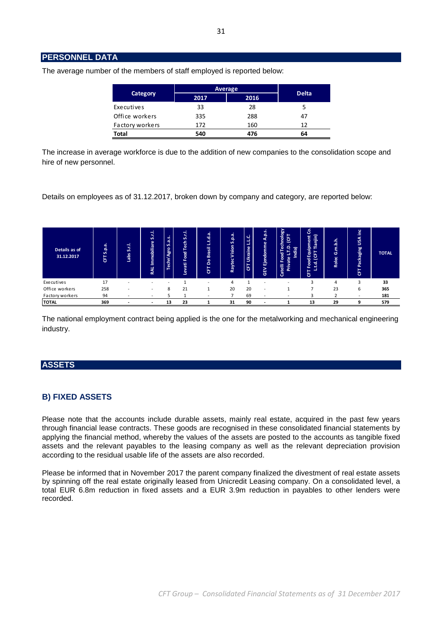## **PERSONNEL DATA**

| <b>Category</b> | Average |      |              |
|-----------------|---------|------|--------------|
|                 | 2017    | 2016 | <b>Delta</b> |
| Executives      | 33      | 28   |              |
| Office workers  | 335     | 288  | 47           |
| Factory workers | 172     | 160  | 12           |
| <b>Total</b>    | 540     | 476  | 64           |

The average number of the members of staff employed is reported below:

The increase in average workforce is due to the addition of new companies to the consolidation scope and hire of new personnel.

Details on employees as of 31.12.2017, broken down by company and category, are reported below:

| Details as of<br>31.12.2017 | e.q.<br>S<br>-<br>෪ | 5.1<br><b>abs</b> | -<br>5.<br>Immobiliare<br>RAL | S.a.s.<br>Techn'Agro | S.r.I.<br>둽<br>-<br>Food<br><b>TEV</b><br>ق | ٠<br>.d.a<br>ته<br>-<br>Brasil<br>å<br>۰<br>ь | S.p.a.<br>Vision<br>Raytec | LL.C.<br>Ukraine<br>$\overline{\bf 5}$ | A.p.s.<br><b>Ejendomme</b><br>GEV | Vappo<br>е<br>ျှ<br>೯<br>. .<br>ੲ<br>Food<br>-<br>ate<br>Catelli<br>Έ | ó<br>ю<br>uipmen.<br>T Tianjin)<br>훕<br>Ъ<br>ت<br>ಕ್ತ<br>$\epsilon$<br>ى<br>u.<br>出 | m.b.h.<br>Ō<br>Rolec | <u>inc</u><br>SSA<br>Packaging<br>෪ | <b>TOTAL</b> |
|-----------------------------|---------------------|-------------------|-------------------------------|----------------------|---------------------------------------------|-----------------------------------------------|----------------------------|----------------------------------------|-----------------------------------|-----------------------------------------------------------------------|-------------------------------------------------------------------------------------|----------------------|-------------------------------------|--------------|
| Executives                  | 17                  |                   |                               | -                    |                                             |                                               | 4                          |                                        | <b>.</b>                          | -                                                                     |                                                                                     | 4                    | 3                                   | 33           |
| Office workers              | 258                 |                   | $\overline{\phantom{0}}$      | 8                    | 21                                          |                                               | 20                         | 20                                     | -                                 |                                                                       |                                                                                     | 23                   | 6                                   | 365          |
| Factory workers             | 94                  |                   |                               |                      |                                             |                                               |                            | 69                                     | $\overline{\phantom{a}}$          |                                                                       |                                                                                     |                      |                                     | 181          |
| <b>TOTAL</b>                | 369                 |                   |                               | 13                   | 23                                          |                                               | 31                         | 90                                     |                                   |                                                                       | 13                                                                                  | 29                   | 9                                   | 579          |

The national employment contract being applied is the one for the metalworking and mechanical engineering industry.

## **ASSETS**

## **B) FIXED ASSETS**

Please note that the accounts include durable assets, mainly real estate, acquired in the past few years through financial lease contracts. These goods are recognised in these consolidated financial statements by applying the financial method, whereby the values of the assets are posted to the accounts as tangible fixed assets and the relevant payables to the leasing company as well as the relevant depreciation provision according to the residual usable life of the assets are also recorded.

Please be informed that in November 2017 the parent company finalized the divestment of real estate assets by spinning off the real estate originally leased from Unicredit Leasing company. On a consolidated level, a total EUR 6.8m reduction in fixed assets and a EUR 3.9m reduction in payables to other lenders were recorded.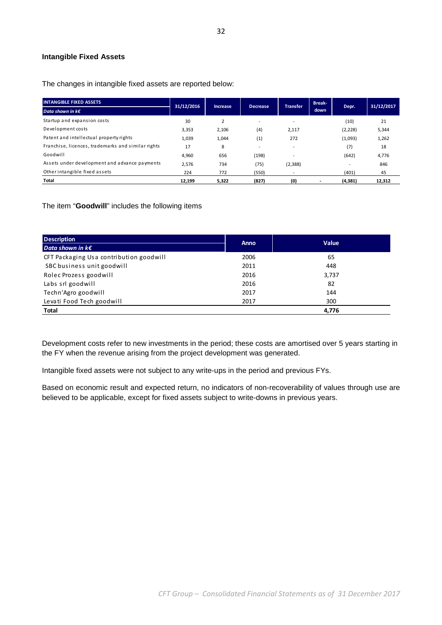### **Intangible Fixed Assets**

The changes in intangible fixed assets are reported below:

| <b>INTANGIBLE FIXED ASSETS</b>                     | 31/12/2016 |                 | <b>Decrease</b>          | <b>Transfer</b>          | <b>Break-</b> | Depr.                    | 31/12/2017 |
|----------------------------------------------------|------------|-----------------|--------------------------|--------------------------|---------------|--------------------------|------------|
| Data shown in $k \in \mathbb{C}$                   |            | <b>Increase</b> |                          |                          | down          |                          |            |
| Startup and expansion costs                        | 30         | 2               | $\overline{\phantom{0}}$ | $\overline{\phantom{a}}$ |               | (10)                     | 21         |
| Development costs                                  | 3,353      | 2,106           | (4)                      | 2,117                    |               | (2, 228)                 | 5,344      |
| Patent and intellectual property rights            | 1,039      | 1,044           | (1)                      | 272                      |               | (1,093)                  | 1,262      |
| Franchise, licences, trademarks and similar rights | 17         | 8               | $\overline{\phantom{0}}$ | $\overline{\phantom{a}}$ |               | (7)                      | 18         |
| Goodwill                                           | 4.960      | 656             | (198)                    | $\overline{\phantom{a}}$ |               | (642)                    | 4,776      |
| Assets under development and advance payments      | 2,576      | 734             | (75)                     | (2, 388)                 |               | $\overline{\phantom{a}}$ | 846        |
| Other intangible fixed assets                      | 224        | 772             | (550)                    |                          |               | (401)                    | 45         |
| Total                                              | 12,199     | 5,322           | (827)                    | (0)                      |               | (4, 381)                 | 12,312     |

The item "**Goodwill**" includes the following items

| <b>Description</b>                      | <b>Anno</b> | <b>Value</b> |
|-----------------------------------------|-------------|--------------|
| Data shown in $k \in \mathbb{Z}$        |             |              |
| CFT Packaging Usa contribution goodwill | 2006        | 65           |
| SBC business unit goodwill              | 2011        | 448          |
| Rolec Prozess goodwill                  | 2016        | 3,737        |
| Labs srl goodwill                       | 2016        | 82           |
| Techn'Agro goodwill                     | 2017        | 144          |
| Levati Food Tech goodwill               | 2017        | 300          |
| Total                                   |             | 4,776        |

Development costs refer to new investments in the period; these costs are amortised over 5 years starting in the FY when the revenue arising from the project development was generated.

Intangible fixed assets were not subject to any write-ups in the period and previous FYs.

Based on economic result and expected return, no indicators of non-recoverability of values through use are believed to be applicable, except for fixed assets subject to write-downs in previous years.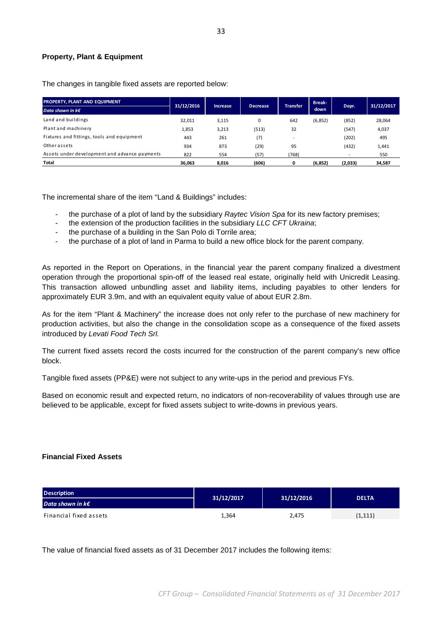### **Property, Plant & Equipment**

The changes in tangible fixed assets are reported below:

| <b>PROPERTY, PLANT AND EQUIPMENT</b>          | 31/12/2016 | <b>Increase</b> | <b>Decrease</b> | <b>Transfer</b>          | <b>Break-</b> | Depr.                    | 31/12/2017 |
|-----------------------------------------------|------------|-----------------|-----------------|--------------------------|---------------|--------------------------|------------|
| Data shown in $k \in \mathbb{Z}$              |            |                 |                 |                          | down          |                          |            |
| Land and buildings                            | 32.011     | 3,115           |                 | 642                      | (6, 852)      | (852)                    | 28,064     |
| Plant and machinery                           | 1,853      | 3,213           | (513)           | 32                       |               | (547)                    | 4,037      |
| Fixtures and fittings, tools and equipment    | 443        | 261             | (7)             | $\overline{\phantom{0}}$ |               | (202)                    | 495        |
| Other assets                                  | 934        | 873             | (29)            | 95                       |               | (432)                    | 1,441      |
| Assets under development and advance payments | 822        | 554             | (57)            | (768)                    |               | $\overline{\phantom{a}}$ | 550        |
| Total                                         | 36.063     | 8.016           | (606)           |                          | (6, 852)      | (2,033)                  | 34,587     |

The incremental share of the item "Land & Buildings" includes:

- the purchase of a plot of land by the subsidiary Raytec Vision Spa for its new factory premises;
- the extension of the production facilities in the subsidiary LLC CFT Ukraina;
- the purchase of a building in the San Polo di Torrile area;
- the purchase of a plot of land in Parma to build a new office block for the parent company.

As reported in the Report on Operations, in the financial year the parent company finalized a divestment operation through the proportional spin-off of the leased real estate, originally held with Unicredit Leasing. This transaction allowed unbundling asset and liability items, including payables to other lenders for approximately EUR 3.9m, and with an equivalent equity value of about EUR 2.8m.

As for the item "Plant & Machinery" the increase does not only refer to the purchase of new machinery for production activities, but also the change in the consolidation scope as a consequence of the fixed assets introduced by Levati Food Tech Srl.

The current fixed assets record the costs incurred for the construction of the parent company's new office block.

Tangible fixed assets (PP&E) were not subject to any write-ups in the period and previous FYs.

Based on economic result and expected return, no indicators of non-recoverability of values through use are believed to be applicable, except for fixed assets subject to write-downs in previous years.

### **Financial Fixed Assets**

| <b>Description</b>               | 31/12/2017 | 31/12/2016 | <b>DELTA</b> |  |
|----------------------------------|------------|------------|--------------|--|
| Data shown in $k \in \mathbb{N}$ |            |            |              |  |
| Financial fixed assets           | 1,364      | 2,475      | (1, 111)     |  |

The value of financial fixed assets as of 31 December 2017 includes the following items: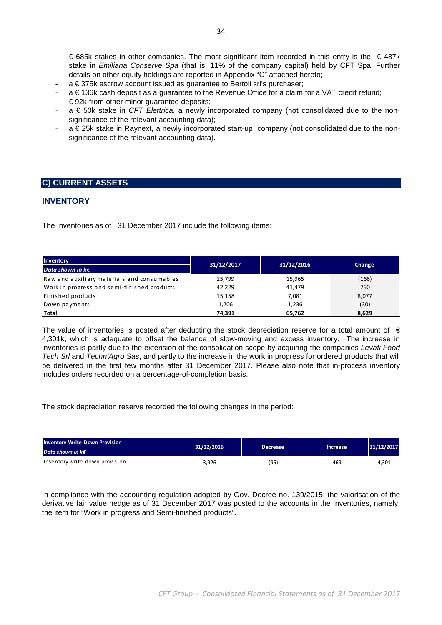- € 685k stakes in other companies. The most significant item recorded in this entry is the € 487k stake in Emiliana Conserve Spa (that is, 11% of the company capital) held by CFT Spa. Further details on other equity holdings are reported in Appendix "C" attached hereto;
- a € 375k escrow account issued as guarantee to Bertoli srl's purchaser;
- a € 136k cash deposit as a guarantee to the Revenue Office for a claim for a VAT credit refund;
- $\epsilon$  92k from other minor guarantee deposits;
- $a \in 50k$  stake in CFT Elettrica, a newly incorporated company (not consolidated due to the nonsignificance of the relevant accounting data);
- a € 25k stake in Raynext, a newly incorporated start-up company (not consolidated due to the nonsignificance of the relevant accounting data).

## **C) CURRENT ASSETS**

## **INVENTORY**

The Inventories as of 31 December 2017 include the following items:

| Inventory                                   | 31/12/2017 | 31/12/2016 | Change |  |
|---------------------------------------------|------------|------------|--------|--|
| Data shown in $k \in \mathbb{Z}$            |            |            |        |  |
| Raw and auxiliary materials and consumables | 15,799     | 15,965     | (166)  |  |
| Work in progress and semi-finished products | 42,229     | 41,479     | 750    |  |
| Finished products                           | 15,158     | 7,081      | 8,077  |  |
| Down payments                               | 1,206      | 1,236      | (30)   |  |
| Total                                       | 74.391     | 65,762     | 8,629  |  |

The value of inventories is posted after deducting the stock depreciation reserve for a total amount of  $\epsilon$ 4,301k, which is adequate to offset the balance of slow-moving and excess inventory. The increase in inventories is partly due to the extension of the consolidation scope by acquiring the companies Levati Food Tech Srl and Techn'Agro Sas, and partly to the increase in the work in progress for ordered products that will be delivered in the first few months after 31 December 2017. Please also note that in-process inventory includes orders recorded on a percentage-of-completion basis.

The stock depreciation reserve recorded the following changes in the period:

| <b>Inventory Write-Down Provision</b> | 31/12/2016 | <b>Decrease</b> | <b>Increase</b> | 31/12/2017 |
|---------------------------------------|------------|-----------------|-----------------|------------|
| Data shown in $k \in \mathbb{Z}$      |            |                 |                 |            |
| Inventory write-down provision        | 3,926      | (95)            | 469             | 4,301      |

In compliance with the accounting regulation adopted by Gov. Decree no. 139/2015, the valorisation of the derivative fair value hedge as of 31 December 2017 was posted to the accounts in the Inventories, namely, the item for "Work in progress and Semi-finished products".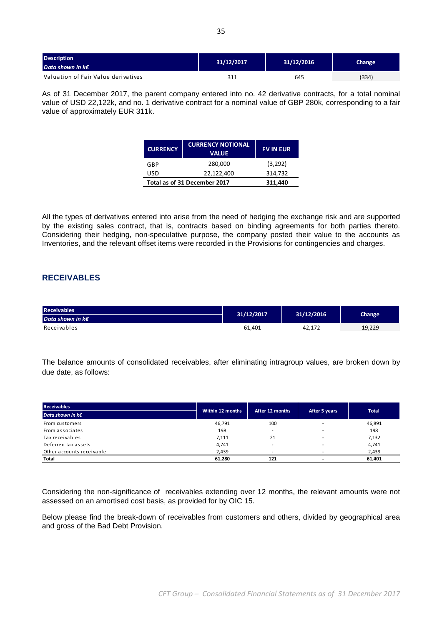| <b>Description</b><br>Data shown in $k \in \mathbb{Z}$ | 31/12/2017 | 31/12/2016 | Change |
|--------------------------------------------------------|------------|------------|--------|
| Valuation of Fair Value derivatives                    | 311        | 645        | (334)  |

As of 31 December 2017, the parent company entered into no. 42 derivative contracts, for a total nominal value of USD 22,122k, and no. 1 derivative contract for a nominal value of GBP 280k, corresponding to a fair value of approximately EUR 311k.

| <b>CURRENCY</b>              | <b>CURRENCY NOTIONAL</b><br><b>VALUE</b> | <b>FV IN EUR</b> |
|------------------------------|------------------------------------------|------------------|
| GBP                          | 280,000                                  | (3,292)          |
| USD                          | 22,122,400                               | 314,732          |
| Total as of 31 December 2017 |                                          | 311.440          |

All the types of derivatives entered into arise from the need of hedging the exchange risk and are supported by the existing sales contract, that is, contracts based on binding agreements for both parties thereto. Considering their hedging, non-speculative purpose, the company posted their value to the accounts as Inventories, and the relevant offset items were recorded in the Provisions for contingencies and charges.

## **RECEIVABLES**

| <b>Receivables</b>               | 31/12/2017 | 31/12/2016 | Change |  |
|----------------------------------|------------|------------|--------|--|
| Data shown in $k \in \mathbb{Z}$ |            |            |        |  |
| Receivables                      | 61.401     | 42.172     | 19,229 |  |

The balance amounts of consolidated receivables, after eliminating intragroup values, are broken down by due date, as follows:

| <b>Receivables</b>               | Within 12 months | After 12 months          |                          | Total  |
|----------------------------------|------------------|--------------------------|--------------------------|--------|
| Data shown in $k \in \mathbb{Z}$ |                  |                          | After 5 years            |        |
| From customers                   | 46,791           | 100                      |                          | 46,891 |
| From associates                  | 198              | $\overline{\phantom{a}}$ |                          | 198    |
| Tax receivables                  | 7,111            | 21                       | $\overline{\phantom{a}}$ | 7,132  |
| Deferred tax assets              | 4,741            |                          |                          | 4,741  |
| Other accounts receivable        | 2,439            | -                        |                          | 2,439  |
| Total                            | 61,280           | 121                      |                          | 61,401 |

Considering the non-significance of receivables extending over 12 months, the relevant amounts were not assessed on an amortised cost basis, as provided for by OIC 15.

Below please find the break-down of receivables from customers and others, divided by geographical area and gross of the Bad Debt Provision.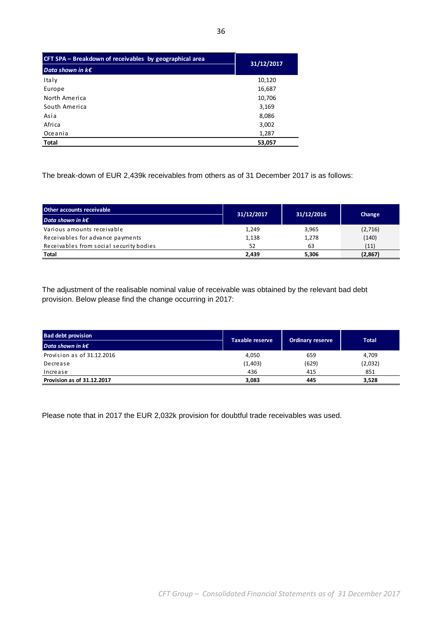| CFT SPA – Breakdown of receivables by geographical area | 31/12/2017 |
|---------------------------------------------------------|------------|
| Data shown in $k \in \mathbb{R}$                        |            |
| Italy                                                   | 10,120     |
| Europe                                                  | 16,687     |
| North America                                           | 10,706     |
| South America                                           | 3,169      |
| Asia                                                    | 8,086      |
| Afri ca                                                 | 3,002      |
| Oceania                                                 | 1,287      |
| <b>Total</b>                                            | 53,057     |

The break-down of EUR 2,439k receivables from others as of 31 December 2017 is as follows:

| Other accounts receivable               |            |            |          |  |
|-----------------------------------------|------------|------------|----------|--|
| Data shown in $k \in \mathbb{Z}$        | 31/12/2017 | 31/12/2016 | Change   |  |
| Various amounts receivable              | 1,249      | 3,965      | (2,716)  |  |
| Receivables for advance payments        | 1,138      | 1,278      | (140)    |  |
| Receivables from social security bodies | 52         | 63         | (11)     |  |
| Total                                   | 2,439      | 5,306      | (2, 867) |  |

The adjustment of the realisable nominal value of receivable was obtained by the relevant bad debt provision. Below please find the change occurring in 2017:

| <b>Bad debt provision</b>        | Taxable reserve |                         | Total   |  |
|----------------------------------|-----------------|-------------------------|---------|--|
| Data shown in $k \in \mathbb{Z}$ |                 | <b>Ordinary reserve</b> |         |  |
| Provision as of 31.12.2016       | 4,050           | 659                     | 4,709   |  |
| Decrease                         | (1,403)         | (629)                   | (2,032) |  |
| Increase                         | 436             | 415                     | 851     |  |
| Provision as of 31.12.2017       | 3,083           | 445                     | 3,528   |  |

Please note that in 2017 the EUR 2,032k provision for doubtful trade receivables was used.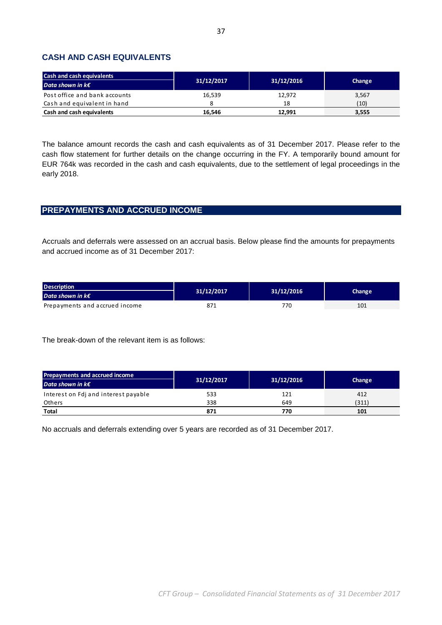## **CASH AND CASH EQUIVALENTS**

| <b>Cash and cash equivalents</b> |            |            | Change |  |
|----------------------------------|------------|------------|--------|--|
| Data shown in $k \in \mathbb{Z}$ | 31/12/2017 | 31/12/2016 |        |  |
| Post office and bank accounts    | 16.539     | 12.972     | 3,567  |  |
| Cash and equivalent in hand      |            | 18         | (10)   |  |
| Cash and cash equivalents        | 16,546     | 12.991     | 3,555  |  |

The balance amount records the cash and cash equivalents as of 31 December 2017. Please refer to the cash flow statement for further details on the change occurring in the FY. A temporarily bound amount for EUR 764k was recorded in the cash and cash equivalents, due to the settlement of legal proceedings in the early 2018.

## **PREPAYMENTS AND ACCRUED INCOME**

Accruals and deferrals were assessed on an accrual basis. Below please find the amounts for prepayments and accrued income as of 31 December 2017:

| <b>Description</b>               |            |            | Change |  |
|----------------------------------|------------|------------|--------|--|
| Data shown in $k \in \mathbb{Z}$ | 31/12/2017 | 31/12/2016 |        |  |
| Prepayments and accrued income   | 871        | 770        | 101    |  |

The break-down of the relevant item is as follows:

| <b>Prepayments and accrued income</b> |            |            | Change |  |
|---------------------------------------|------------|------------|--------|--|
| Data shown in $k \in \mathbb{Z}$      | 31/12/2017 | 31/12/2016 |        |  |
| Interest on Fdj and interest payable  | 533        | 121        | 412    |  |
| Others                                | 338        | 649        | (311)  |  |
| <b>Total</b>                          | 871        | 770        | 101    |  |

No accruals and deferrals extending over 5 years are recorded as of 31 December 2017.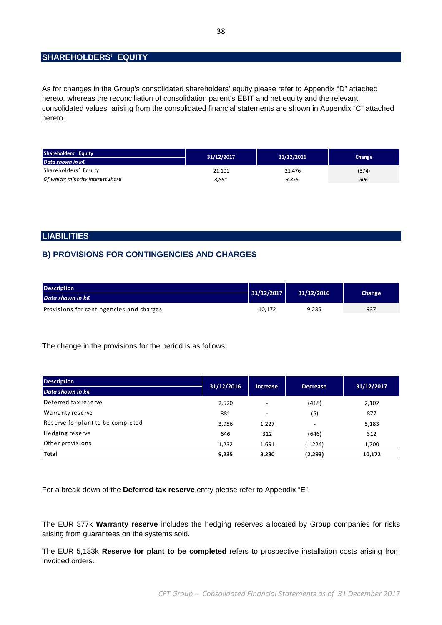## **SHAREHOLDERS' EQUITY**

As for changes in the Group's consolidated shareholders' equity please refer to Appendix "D" attached hereto, whereas the reconciliation of consolidation parent's EBIT and net equity and the relevant consolidated values arising from the consolidated financial statements are shown in Appendix "C" attached hereto.

| Shareholders' Equity              | 31/12/2017 | 31/12/2016 | Change |  |
|-----------------------------------|------------|------------|--------|--|
| Data shown in $k \in \mathbb{R}$  |            |            |        |  |
| Shareholders' Equity              | 21.101     | 21.476     | (374)  |  |
| Of which: minority interest share | 3,861      | 3,355      | 506    |  |

### **LIABILITIES**

## **B) PROVISIONS FOR CONTINGENCIES AND CHARGES**

| <b>Description</b>                       | 31/12/2017 | 31/12/2016 | Change |
|------------------------------------------|------------|------------|--------|
| Data shown in $k \in \mathbb{Z}$         |            |            |        |
| Provisions for contingencies and charges | 10.172     | 9.235      | 937    |

The change in the provisions for the period is as follows:

| <b>Description</b>                | 31/12/2016 |                          |                 |        | 31/12/2017 |
|-----------------------------------|------------|--------------------------|-----------------|--------|------------|
| Data shown in $k \in \mathbb{R}$  |            | <b>Increase</b>          | <b>Decrease</b> |        |            |
| Deferred tax reserve              | 2,520      | $\overline{\phantom{a}}$ | (418)           | 2,102  |            |
| Warranty reserve                  | 881        | $\overline{\phantom{a}}$ | (5)             | 877    |            |
| Reserve for plant to be completed | 3,956      | 1,227                    | ٠               | 5,183  |            |
| Hedging reserve                   | 646        | 312                      | (646)           | 312    |            |
| Other provisions                  | 1,232      | 1,691                    | (1,224)         | 1,700  |            |
| <b>Total</b>                      | 9,235      | 3,230                    | (2, 293)        | 10,172 |            |

For a break-down of the **Deferred tax reserve** entry please refer to Appendix "E".

The EUR 877k **Warranty reserve** includes the hedging reserves allocated by Group companies for risks arising from guarantees on the systems sold.

The EUR 5,183k **Reserve for plant to be completed** refers to prospective installation costs arising from invoiced orders.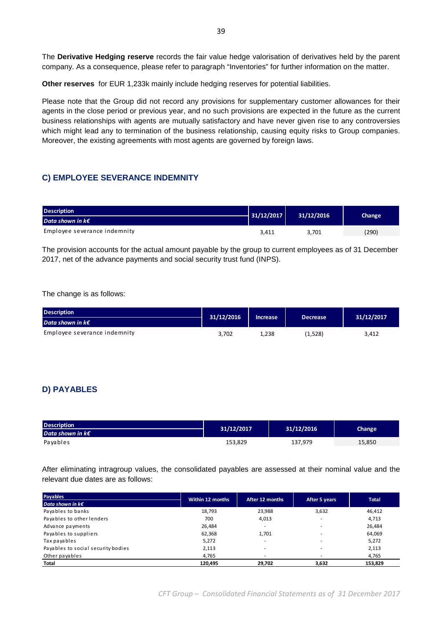The **Derivative Hedging reserve** records the fair value hedge valorisation of derivatives held by the parent company. As a consequence, please refer to paragraph "Inventories" for further information on the matter.

**Other reserves** for EUR 1,233k mainly include hedging reserves for potential liabilities.

Please note that the Group did not record any provisions for supplementary customer allowances for their agents in the close period or previous year, and no such provisions are expected in the future as the current business relationships with agents are mutually satisfactory and have never given rise to any controversies which might lead any to termination of the business relationship, causing equity risks to Group companies. Moreover, the existing agreements with most agents are governed by foreign laws.

## **C) EMPLOYEE SEVERANCE INDEMNITY**

| <b>Description</b>               | 31/12/2017 | 31/12/2016 | Change |
|----------------------------------|------------|------------|--------|
| Data shown in $k \in \mathbb{Z}$ |            |            |        |
| Employee severance indemnity     | 3,411      | 3.701      | (290)  |

The provision accounts for the actual amount payable by the group to current employees as of 31 December 2017, net of the advance payments and social security trust fund (INPS).

The change is as follows:

| Description <sup>1</sup>         | 31/12/2016 | <b>Increase</b> | <b>Decrease</b> | 31/12/2017 |
|----------------------------------|------------|-----------------|-----------------|------------|
| Data shown in $k \in \mathbb{Z}$ |            |                 |                 |            |
| Employee severance indemnity     | 3.702      | 1.238           | (1,528)         | 3,412      |

## **D) PAYABLES**

| <b>Description</b><br>Data shown in $k \in \mathbb{Z}$ | 31/12/2017 | 31/12/2016 | Change |
|--------------------------------------------------------|------------|------------|--------|
| Payables                                               | 153,829    | 137.979    | 15,850 |

After eliminating intragroup values, the consolidated payables are assessed at their nominal value and the relevant due dates are as follows:

| <b>Payables</b>                    | Within 12 months | After 12 months          | After 5 years            | <b>Total</b> |
|------------------------------------|------------------|--------------------------|--------------------------|--------------|
| Data shown in $k \in \mathbb{Z}$   |                  |                          |                          |              |
| Payables to banks                  | 18,793           | 23,988                   | 3,632                    | 46,412       |
| Payables to other lenders          | 700              | 4,013                    | $\sim$                   | 4,713        |
| Advance payments                   | 26,484           | ۰                        | $\overline{\phantom{a}}$ | 26,484       |
| Payables to suppliers              | 62,368           | 1.701                    | $\overline{\phantom{a}}$ | 64,069       |
| Tax payables                       | 5,272            | ٠                        |                          | 5,272        |
| Payables to social security bodies | 2,113            | $\overline{\phantom{a}}$ | ۰                        | 2,113        |
| Other payables                     | 4,765            | ۰                        | $\overline{\phantom{a}}$ | 4,765        |
| Total                              | 120,495          | 29,702                   | 3.632                    | 153,829      |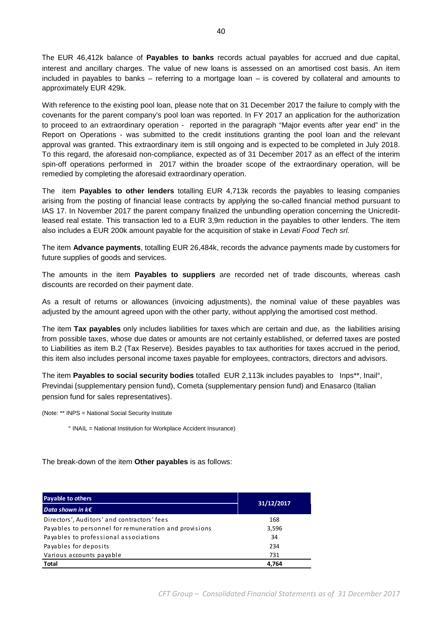The EUR 46,412k balance of **Payables to banks** records actual payables for accrued and due capital, interest and ancillary charges. The value of new loans is assessed on an amortised cost basis. An item included in payables to banks – referring to a mortgage loan – is covered by collateral and amounts to approximately EUR 429k.

With reference to the existing pool loan, please note that on 31 December 2017 the failure to comply with the covenants for the parent company's pool loan was reported. In FY 2017 an application for the authorization to proceed to an extraordinary operation - reported in the paragraph "Major events after year end" in the Report on Operations - was submitted to the credit institutions granting the pool loan and the relevant approval was granted. This extraordinary item is still ongoing and is expected to be completed in July 2018. To this regard, the aforesaid non-compliance, expected as of 31 December 2017 as an effect of the interim spin-off operations performed in 2017 within the broader scope of the extraordinary operation, will be remedied by completing the aforesaid extraordinary operation.

The item **Payables to other lenders** totalling EUR 4,713k records the payables to leasing companies arising from the posting of financial lease contracts by applying the so-called financial method pursuant to IAS 17. In November 2017 the parent company finalized the unbundling operation concerning the Unicreditleased real estate. This transaction led to a EUR 3,9m reduction in the payables to other lenders. The item also includes a EUR 200k amount payable for the acquisition of stake in Levati Food Tech srl.

The item **Advance payments**, totalling EUR 26,484k, records the advance payments made by customers for future supplies of goods and services.

The amounts in the item **Payables to suppliers** are recorded net of trade discounts, whereas cash discounts are recorded on their payment date.

As a result of returns or allowances (invoicing adjustments), the nominal value of these payables was adjusted by the amount agreed upon with the other party, without applying the amortised cost method.

The item **Tax payables** only includes liabilities for taxes which are certain and due, as the liabilities arising from possible taxes, whose due dates or amounts are not certainly established, or deferred taxes are posted to Liabilities as item B.2 (Tax Reserve). Besides payables to tax authorities for taxes accrued in the period, this item also includes personal income taxes payable for employees, contractors, directors and advisors.

The item **Payables to social security bodies** totalled EUR 2,113k includes payables to Inps\*\*, Inail°, Previndai (supplementary pension fund), Cometa (supplementary pension fund) and Enasarco (Italian pension fund for sales representatives).

(Note: \*\* INPS = National Social Security Institute

° INAIL = National Institution for Workplace Accident Insurance)

The break-down of the item **Other payables** is as follows:

| <b>Payable to others</b>                              | 31/12/2017 |
|-------------------------------------------------------|------------|
| Data shown in $k \in \mathbb{C}$                      |            |
| Directors', Auditors' and contractors' fees           | 168        |
| Payables to personnel for remuneration and provisions | 3,596      |
| Payables to professional associations                 | 34         |
| Payables for deposits                                 | 234        |
| Various accounts payable                              | 731        |
| <b>Total</b>                                          | 4.764      |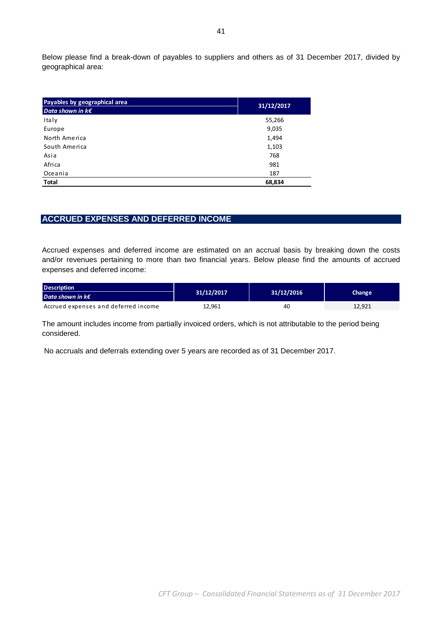Below please find a break-down of payables to suppliers and others as of 31 December 2017, divided by geographical area:

| Payables by geographical area    | 31/12/2017 |
|----------------------------------|------------|
| Data shown in $k \in \mathbb{R}$ |            |
| Italy                            | 55,266     |
| Europe                           | 9,035      |
| North America                    | 1,494      |
| South America                    | 1,103      |
| Asia                             | 768        |
| Africa                           | 981        |
| Oceania                          | 187        |
| Total                            | 68,834     |

## **ACCRUED EXPENSES AND DEFERRED INCOME**

Accrued expenses and deferred income are estimated on an accrual basis by breaking down the costs and/or revenues pertaining to more than two financial years. Below please find the amounts of accrued expenses and deferred income:

| <b>Description</b>                   |            |            |        |
|--------------------------------------|------------|------------|--------|
| Data shown in $k \in \mathbb{Z}$     | 31/12/2017 | 31/12/2016 | Change |
| Accrued expenses and deferred income | 12,961     | 40         | 12,921 |

The amount includes income from partially invoiced orders, which is not attributable to the period being considered.

No accruals and deferrals extending over 5 years are recorded as of 31 December 2017.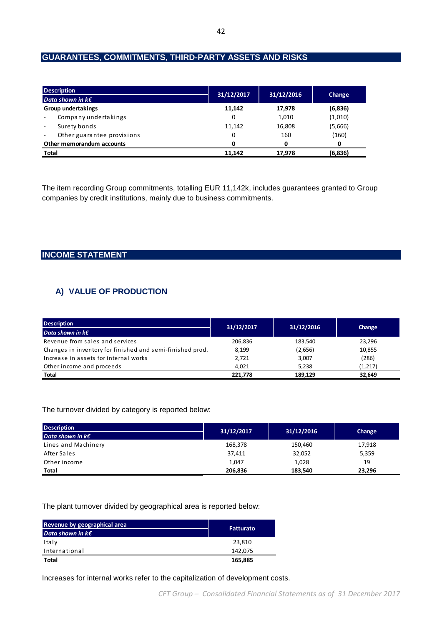## **GUARANTEES, COMMITMENTS, THIRD-PARTY ASSETS AND RISKS**

| <b>Description</b>                                     | 31/12/2017 | 31/12/2016 |         |
|--------------------------------------------------------|------------|------------|---------|
| Data shown in $k \in \mathbb{C}$                       |            |            | Change  |
| <b>Group undertakings</b>                              | 11,142     | 17,978     | (6,836) |
| Company undertakings                                   | 0          | 1,010      | (1,010) |
| Surety bonds<br>$\sim$                                 | 11,142     | 16,808     | (5,666) |
| Other guarantee provisions<br>$\overline{\phantom{a}}$ | 0          | 160        | (160)   |
| Other memorandum accounts                              | 0          | 0          | 0       |
| <b>Total</b>                                           | 11.142     | 17.978     | (6,836) |

The item recording Group commitments, totalling EUR 11,142k, includes guarantees granted to Group companies by credit institutions, mainly due to business commitments.

## **INCOME STATEMENT**

## **A) VALUE OF PRODUCTION**

| <b>Description</b>                                        | 31/12/2017 | 31/12/2016 | Change   |
|-----------------------------------------------------------|------------|------------|----------|
| Data shown in $k \in \mathbb{Z}$                          |            |            |          |
| Revenue from sales and services                           | 206,836    | 183.540    | 23,296   |
| Changes in inventory for finished and semi-finished prod. | 8.199      | (2,656)    | 10,855   |
| Increase in assets for internal works                     | 2,721      | 3,007      | (286)    |
| Other income and proceeds                                 | 4.021      | 5.238      | (1, 217) |
| Total                                                     | 221,778    | 189,129    | 32,649   |

#### The turnover divided by category is reported below:

| <b>Description</b>               | 31/12/2017 | 31/12/2016 | Change |
|----------------------------------|------------|------------|--------|
| Data shown in $k \in \mathbb{Z}$ |            |            |        |
| Lines and Machinery              | 168,378    | 150,460    | 17,918 |
| After Sales                      | 37,411     | 32,052     | 5,359  |
| Other income                     | 1.047      | 1.028      | 19     |
| Total                            | 206.836    | 183,540    | 23,296 |

#### The plant turnover divided by geographical area is reported below:

| Revenue by geographical area<br>Data shown in $k\boldsymbol{\epsilon}$ | <b>Fatturato</b> |
|------------------------------------------------------------------------|------------------|
|                                                                        |                  |
| Italy                                                                  | 23,810           |
| International                                                          | 142.075          |
| <b>Total</b>                                                           | 165,885          |

Increases for internal works refer to the capitalization of development costs.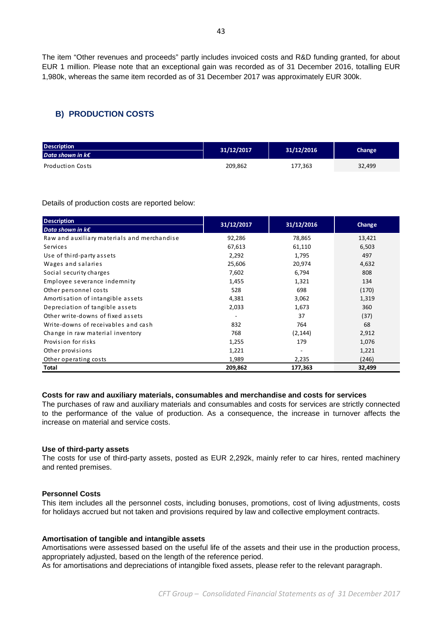The item "Other revenues and proceeds" partly includes invoiced costs and R&D funding granted, for about EUR 1 million. Please note that an exceptional gain was recorded as of 31 December 2016, totalling EUR 1,980k, whereas the same item recorded as of 31 December 2017 was approximately EUR 300k.

## **B) PRODUCTION COSTS**

| <b>Description</b><br>Data shown in $k \in \mathbb{Z}$ | 31/12/2017 | 31/12/2016 | Change |
|--------------------------------------------------------|------------|------------|--------|
| Production Costs                                       | 209,862    | 177,363    | 32,499 |

Details of production costs are reported below:

| <b>Description</b>                          | 31/12/2017               | 31/12/2016 | Change |
|---------------------------------------------|--------------------------|------------|--------|
| Data shown in $k\epsilon$                   |                          |            |        |
| Raw and auxiliary materials and merchandise | 92,286                   | 78,865     | 13,421 |
| Services                                    | 67,613                   | 61,110     | 6,503  |
| Use of third-party assets                   | 2,292                    | 1,795      | 497    |
| Wages and salaries                          | 25,606                   | 20,974     | 4,632  |
| Social security charges                     | 7,602                    | 6,794      | 808    |
| Employee severance indemnity                | 1,455                    | 1,321      | 134    |
| Other personnel costs                       | 528                      | 698        | (170)  |
| Amortisation of intangible assets           | 4,381                    | 3,062      | 1,319  |
| Depreciation of tangible assets             | 2,033                    | 1,673      | 360    |
| Other write-downs of fixed assets           | $\overline{\phantom{a}}$ | 37         | (37)   |
| Write-downs of receivables and cash         | 832                      | 764        | 68     |
| Change in raw material inventory            | 768                      | (2, 144)   | 2,912  |
| Provision for risks                         | 1,255                    | 179        | 1,076  |
| Other provisions                            | 1,221                    |            | 1,221  |
| Other operating costs                       | 1,989                    | 2,235      | (246)  |
| Total                                       | 209,862                  | 177,363    | 32,499 |

## **Costs for raw and auxiliary materials, consumables and merchandise and costs for services**

The purchases of raw and auxiliary materials and consumables and costs for services are strictly connected to the performance of the value of production. As a consequence, the increase in turnover affects the increase on material and service costs.

#### **Use of third-party assets**

The costs for use of third-party assets, posted as EUR 2,292k, mainly refer to car hires, rented machinery and rented premises.

#### **Personnel Costs**

This item includes all the personnel costs, including bonuses, promotions, cost of living adjustments, costs for holidays accrued but not taken and provisions required by law and collective employment contracts.

#### **Amortisation of tangible and intangible assets**

Amortisations were assessed based on the useful life of the assets and their use in the production process, appropriately adjusted, based on the length of the reference period. As for amortisations and depreciations of intangible fixed assets, please refer to the relevant paragraph.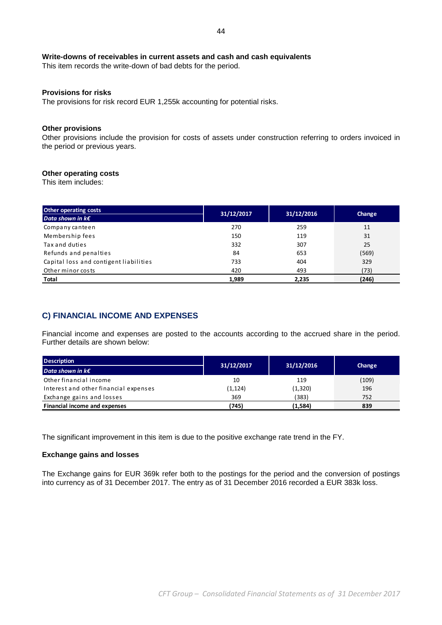### **Write-downs of receivables in current assets and cash and cash equivalents**

This item records the write-down of bad debts for the period.

### **Provisions for risks**

The provisions for risk record EUR 1,255k accounting for potential risks.

### **Other provisions**

Other provisions include the provision for costs of assets under construction referring to orders invoiced in the period or previous years.

### **Other operating costs**

This item includes:

| <b>Other operating costs</b>           | 31/12/2017 | 31/12/2016 | Change |
|----------------------------------------|------------|------------|--------|
| Data shown in $k \in \mathbb{R}$       |            |            |        |
| Company canteen                        | 270        | 259        | 11     |
| Membership fees                        | 150        | 119        | 31     |
| Tax and duties                         | 332        | 307        | 25     |
| Refunds and penalties                  | 84         | 653        | (569)  |
| Capital loss and contigent liabilities | 733        | 404        | 329    |
| Other minor costs                      | 420        | 493        | (73)   |
| Total                                  | 1.989      | 2,235      | (246)  |

## **C) FINANCIAL INCOME AND EXPENSES**

Financial income and expenses are posted to the accounts according to the accrued share in the period. Further details are shown below:

| <b>Description</b>                    | 31/12/2017 | 31/12/2016 |        |
|---------------------------------------|------------|------------|--------|
| Data shown in $k \in \mathbb{Z}$      |            |            | Change |
| Other financial income                | 10         | 119        | (109)  |
| Interest and other financial expenses | (1,124)    | (1,320)    | 196    |
| Exchange gains and losses             | 369        | (383)      | 752    |
| Financial income and expenses         | (745)      | (1,584)    | 839    |

The significant improvement in this item is due to the positive exchange rate trend in the FY.

#### **Exchange gains and losses**

The Exchange gains for EUR 369k refer both to the postings for the period and the conversion of postings into currency as of 31 December 2017. The entry as of 31 December 2016 recorded a EUR 383k loss.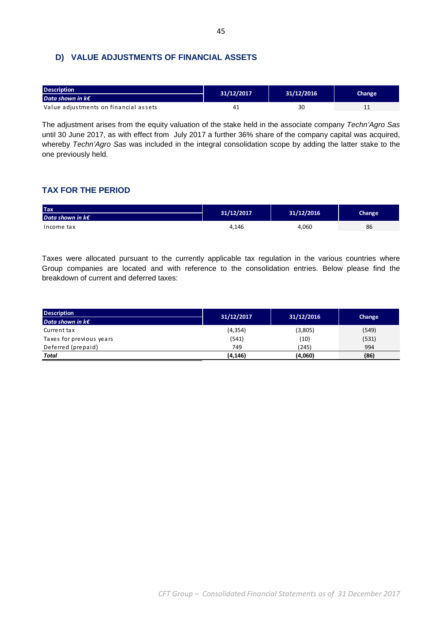## **D) VALUE ADJUSTMENTS OF FINANCIAL ASSETS**

| <b>Description</b>                    | 31/12/2017 | 31/12/2016 | Change |
|---------------------------------------|------------|------------|--------|
| <b>Data shown in k€</b>               |            |            |        |
| Value adjustments on financial assets | 41         | 30         | . .    |

The adjustment arises from the equity valuation of the stake held in the associate company Techn'Agro Sas until 30 June 2017, as with effect from July 2017 a further 36% share of the company capital was acquired, whereby Techn'Agro Sas was included in the integral consolidation scope by adding the latter stake to the one previously held.

## **TAX FOR THE PERIOD**

| <b>Tax</b>                       | 31/12/2017 | 31/12/2016 | Change |
|----------------------------------|------------|------------|--------|
| Data shown in $k \in \mathbb{Z}$ |            |            |        |
| Income tax                       | 4.146      | 4,060      | 86     |

Taxes were allocated pursuant to the currently applicable tax regulation in the various countries where Group companies are located and with reference to the consolidation entries. Below please find the breakdown of current and deferred taxes:

| <b>Description</b>               | 31/12/2017 | 31/12/2016 |        |
|----------------------------------|------------|------------|--------|
| Data shown in $k \in \mathbb{R}$ |            |            | Change |
| Current tax                      | (4, 354)   | (3,805)    | (549)  |
| Taxes for previous years         | (541)      | (10)       | (531)  |
| Deferred (prepaid)               | 749        | (245)      | 994    |
| <b>Total</b>                     | (4, 146)   | (4,060)    | (86)   |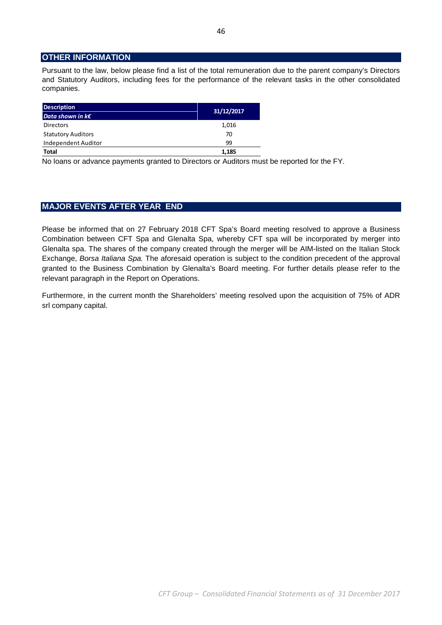## **OTHER INFORMATION**

Pursuant to the law, below please find a list of the total remuneration due to the parent company's Directors and Statutory Auditors, including fees for the performance of the relevant tasks in the other consolidated companies.

| <b>Description</b>        | 31/12/2017 |
|---------------------------|------------|
| Data shown in $k\epsilon$ |            |
| <b>Directors</b>          | 1,016      |
| <b>Statutory Auditors</b> | 70         |
| Independent Auditor       | 99         |
| <b>Total</b>              | 1,185      |

No loans or advance payments granted to Directors or Auditors must be reported for the FY.

## **MAJOR EVENTS AFTER YEAR END**

Please be informed that on 27 February 2018 CFT Spa's Board meeting resolved to approve a Business Combination between CFT Spa and Glenalta Spa, whereby CFT spa will be incorporated by merger into Glenalta spa. The shares of the company created through the merger will be AIM-listed on the Italian Stock Exchange, Borsa Italiana Spa. The aforesaid operation is subject to the condition precedent of the approval granted to the Business Combination by Glenalta's Board meeting. For further details please refer to the relevant paragraph in the Report on Operations.

Furthermore, in the current month the Shareholders' meeting resolved upon the acquisition of 75% of ADR srl company capital.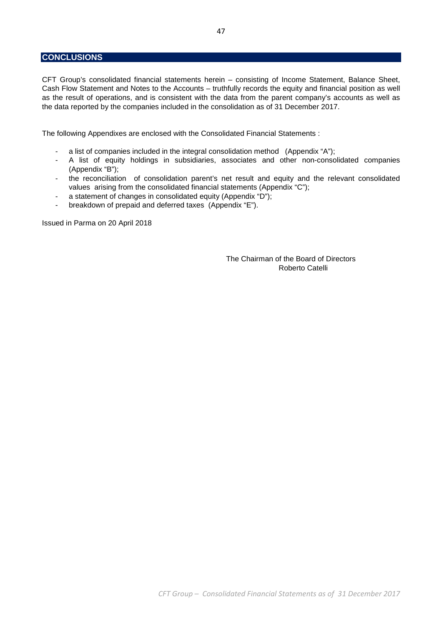## **CONCLUSIONS**

CFT Group's consolidated financial statements herein – consisting of Income Statement, Balance Sheet, Cash Flow Statement and Notes to the Accounts – truthfully records the equity and financial position as well as the result of operations, and is consistent with the data from the parent company's accounts as well as the data reported by the companies included in the consolidation as of 31 December 2017.

The following Appendixes are enclosed with the Consolidated Financial Statements :

- a list of companies included in the integral consolidation method (Appendix "A");
- A list of equity holdings in subsidiaries, associates and other non-consolidated companies (Appendix "B");
- the reconciliation of consolidation parent's net result and equity and the relevant consolidated values arising from the consolidated financial statements (Appendix "C");
- a statement of changes in consolidated equity (Appendix "D");
- breakdown of prepaid and deferred taxes (Appendix "E").

Issued in Parma on 20 April 2018

 The Chairman of the Board of Directors Roberto Catelli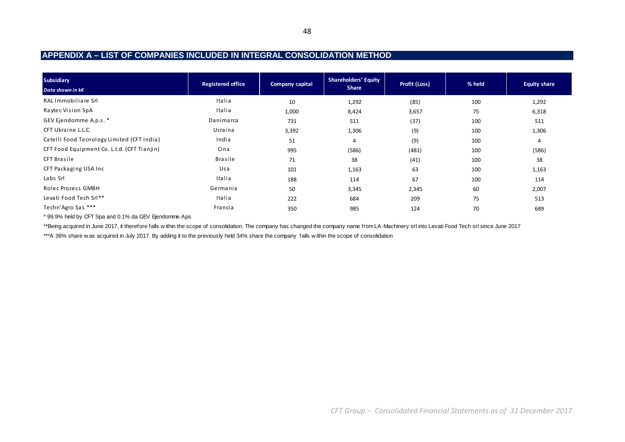## **APPENDIX A – LIST OF COMPANIES INCLUDED IN INTEGRAL CONSOLIDATION METHOD**

| <b>Equity share</b> |
|---------------------|
| 1,292               |
| 6,318               |
| 511                 |
| 1,306               |
| 4                   |
| (586)               |
| 38                  |
| 1,163               |
| 114                 |
| 2,007               |
| 513                 |
| 689                 |
|                     |

\* 99.9% held by CFT Spa and 0.1% da GEV Ejendomme Aps

\*\*Being acquired in June 2017, it therefore falls w ithin the scope of consolidation. The company has changed the company name from LA-Machinery srl into Levati Food Tech srl since June 2017

\*\*\*A 36% share w as acquired in July 2017. By adding it to the previously held 34% share the company falls within the scope of consolidation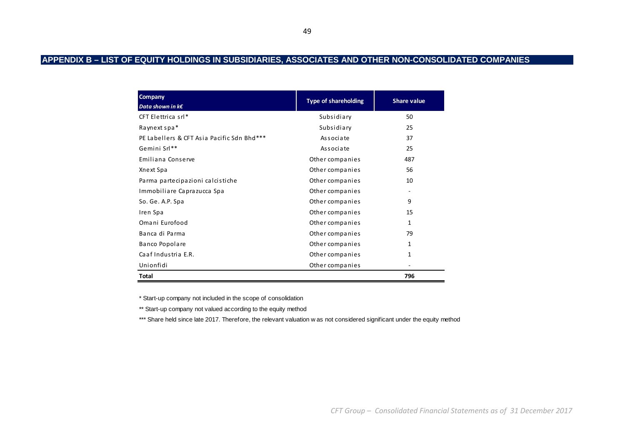## **APPENDIX B – LIST OF EQUITY HOLDINGS IN SUBSIDIARIES, ASSOCIATES AND OTHER NON-CONSOLIDATED COMPANIES**

| Company<br>Data shown in $k\epsilon$       | <b>Type of shareholding</b> | <b>Share value</b> |
|--------------------------------------------|-----------------------------|--------------------|
| CFT Elettrica srl*                         | Subsidiary                  | 50                 |
| Raynext spa*                               | Subsidiary                  | 25                 |
| PE Labellers & CFT Asia Pacific Sdn Bhd*** | Associate                   | 37                 |
| Gemini Srl**                               | Associate                   | 25                 |
| Emiliana Conserve                          | Other companies             | 487                |
| Xnext Spa                                  | Other companies             | 56                 |
| Parma partecipazioni calcistiche           | Other companies             | 10                 |
| Immobiliare Caprazucca Spa                 | Other companies             |                    |
| So. Ge. A.P. Spa                           | Other companies             | 9                  |
| Iren Spa                                   | Other companies             | 15                 |
| Omani Eurofood                             | Other companies             | 1                  |
| Banca di Parma                             | Other companies             | 79                 |
| Banco Popolare                             | Other companies             | 1                  |
| Caaf Industria E.R.                        | Other companies             | 1                  |
| Unionfidi                                  | Other companies             |                    |
| Total                                      |                             | 796                |

\* Start-up company not included in the scope of consolidation

\*\* Start-up company not valued according to the equity method

\*\*\* Share held since late 2017. Therefore, the relevant valuation w as not considered significant under the equity method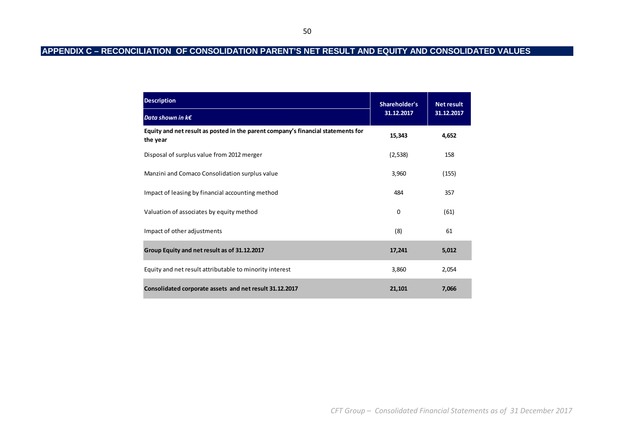## **APPENDIX C – RECONCILIATION OF CONSOLIDATION PARENT'S NET RESULT AND EQUITY AND CONSOLIDATED VALUES**

| <b>Description</b>                                                                           | Shareholder's | <b>Net result</b><br>31.12.2017 |  |
|----------------------------------------------------------------------------------------------|---------------|---------------------------------|--|
| Data shown in $k \in \mathbb{C}$                                                             | 31.12.2017    |                                 |  |
| Equity and net result as posted in the parent company's financial statements for<br>the year | 15,343        | 4,652                           |  |
| Disposal of surplus value from 2012 merger                                                   | (2, 538)      | 158                             |  |
| Manzini and Comaco Consolidation surplus value                                               | 3,960         | (155)                           |  |
| Impact of leasing by financial accounting method                                             | 484           | 357                             |  |
| Valuation of associates by equity method                                                     | 0             | (61)                            |  |
| Impact of other adjustments                                                                  | (8)           | 61                              |  |
| Group Equity and net result as of 31.12.2017                                                 | 17,241        | 5,012                           |  |
| Equity and net result attributable to minority interest                                      | 3,860         | 2,054                           |  |
| Consolidated corporate assets and net result 31.12.2017                                      | 21,101        | 7,066                           |  |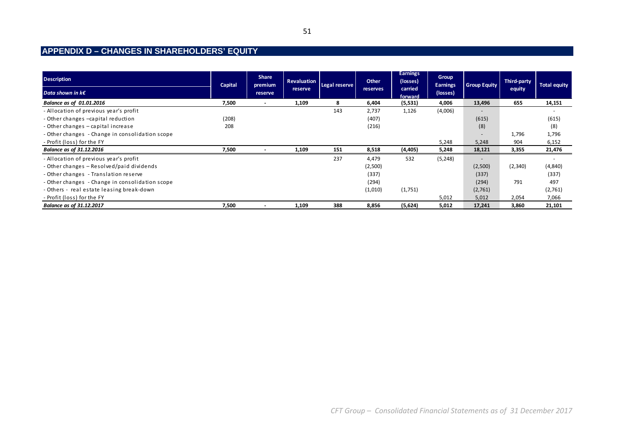## **APPENDIX D – CHANGES IN SHAREHOLDERS' EQUITY**

| <b>Description</b>                              | Capital | <b>Share</b><br>premium  | <b>Revaluation</b> | Legal reserve | Other    | <b>Earnings</b><br>(losses) | Group<br><b>Earnings</b> | <b>Group Equity</b>      | <b>Third-party</b> | <b>Total equity</b>      |
|-------------------------------------------------|---------|--------------------------|--------------------|---------------|----------|-----------------------------|--------------------------|--------------------------|--------------------|--------------------------|
| Data shown in $k \in \mathbb{R}$                |         | reserve                  | reserve            |               | reserves | carried<br>forward          | (losses)                 |                          | equity             |                          |
| Balance as of 01.01.2016                        | 7,500   | $\overline{\phantom{a}}$ | 1,109              | 8             | 6,404    | (5, 531)                    | 4,006                    | 13,496                   | 655                | 14,151                   |
| - Allocation of previous year's profit          |         |                          |                    | 143           | 2,737    | 1,126                       | (4,006)                  | $\overline{\phantom{a}}$ |                    | $\overline{\phantom{0}}$ |
| - Other changes -capital reduction              | (208)   |                          |                    |               | (407)    |                             |                          | (615)                    |                    | (615)                    |
| - Other changes - capital increase              | 208     |                          |                    |               | (216)    |                             |                          | (8)                      |                    | (8)                      |
| - Other changes - Change in consolidation scope |         |                          |                    |               |          |                             |                          | -                        | 1,796              | 1,796                    |
| - Profit (loss) for the FY                      |         |                          |                    |               |          |                             | 5,248                    | 5,248                    | 904                | 6,152                    |
| <b>Balance as of 31.12.2016</b>                 | 7,500   |                          | 1,109              | 151           | 8,518    | (4, 405)                    | 5,248                    | 18,121                   | 3,355              | 21,476                   |
| - Allocation of previous year's profit          |         |                          |                    | 237           | 4,479    | 532                         | (5, 248)                 |                          |                    | $\overline{\phantom{0}}$ |
| - Other changes – Resolved/paid dividends       |         |                          |                    |               | (2,500)  |                             |                          | (2,500)                  | (2,340)            | (4,840)                  |
| - Other changes - Translation reserve           |         |                          |                    |               | (337)    |                             |                          | (337)                    |                    | (337)                    |
| - Other changes - Change in consolidation scope |         |                          |                    |               | (294)    |                             |                          | (294)                    | 791                | 497                      |
| - Others - real estate leasing break-down       |         |                          |                    |               | (1,010)  | (1,751)                     |                          | (2,761)                  |                    | (2,761)                  |
| - Profit (loss) for the FY                      |         |                          |                    |               |          |                             | 5,012                    | 5,012                    | 2,054              | 7,066                    |
| <b>Balance as of 31.12.2017</b>                 | 7,500   |                          | 1,109              | 388           | 8,856    | (5,624)                     | 5,012                    | 17,241                   | 3,860              | 21,101                   |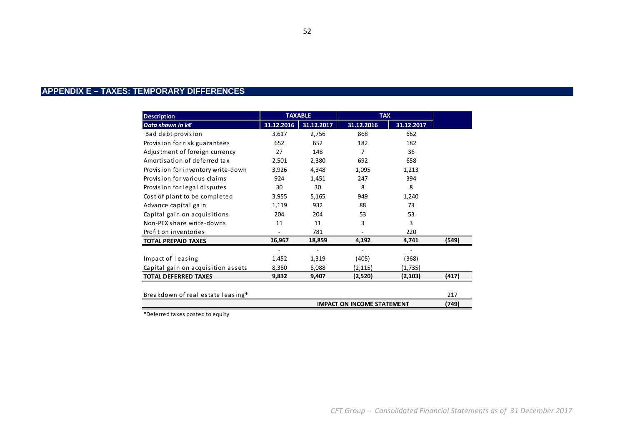#### 52

## **APPENDIX E – TAXES: TEMPORARY DIFFERENCES**

| <b>Description</b>                 | <b>TAXABLE</b> |            | <b>TAX</b> |            |       |
|------------------------------------|----------------|------------|------------|------------|-------|
| Data shown in $k \in \mathbb{R}$   | 31.12.2016     | 31.12.2017 | 31.12.2016 | 31.12.2017 |       |
| Bad debt provision                 | 3,617          | 2,756      | 868        | 662        |       |
| Provision for risk guarantees      | 652            | 652        | 182        | 182        |       |
| Adjustment of foreign currency     | 27             | 148        | 7          | 36         |       |
| Amortisation of deferred tax       | 2,501          | 2,380      | 692        | 658        |       |
| Provision for inventory write-down | 3,926          | 4,348      | 1,095      | 1,213      |       |
| Provision for various claims       | 924            | 1,451      | 247        | 394        |       |
| Provision for legal disputes       | 30             | 30         | 8          | 8          |       |
| Cost of plant to be completed      | 3,955          | 5,165      | 949        | 1,240      |       |
| Advance capital gain               | 1,119          | 932        | 88         | 73         |       |
| Capital gain on acquisitions       | 204            | 204        | 53         | 53         |       |
| Non-PEX share write-downs          | 11             | 11         | 3          | 3          |       |
| Profit on inventories              |                | 781        |            | 220        |       |
| <b>TOTAL PREPAID TAXES</b>         | 16,967         | 18,859     | 4,192      | 4,741      | (549) |
|                                    |                |            | ٠          |            |       |
| Impact of leasing                  | 1,452          | 1,319      | (405)      | (368)      |       |
| Capital gain on acquisition assets | 8,380          | 8,088      | (2,115)    | (1,735)    |       |
| <b>TOTAL DEFERRED TAXES</b>        | 9,832          | 9,407      | (2,520)    | (2, 103)   | (417) |
|                                    |                |            |            |            |       |
| Breakdown of real estate leasing*  |                |            |            |            | 217   |
| <b>IMPACT ON INCOME STATEMENT</b>  |                |            |            |            |       |

\*Deferred taxes posted to equity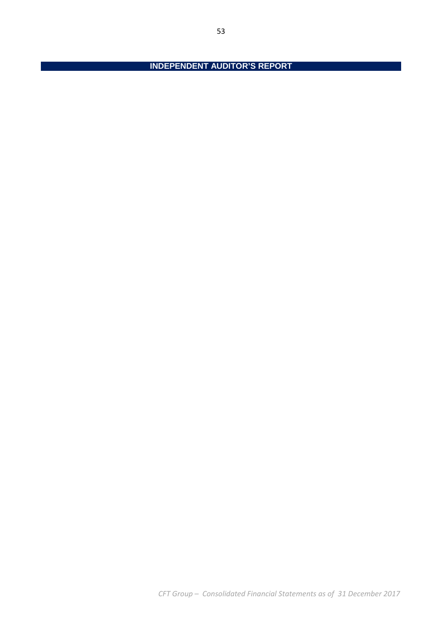*CFT Group – Consolidated Financial Statements as of 31 December 2017* 

**INDEPENDENT AUDITOR'S REPORT**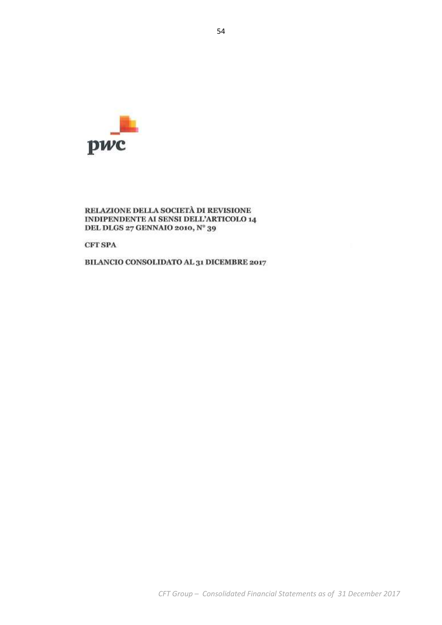

### RELAZIONE DELLA SOCIETÀ DI REVISIONE INDIPENDENTE AI SENSI DELL'ARTICOLO 14 DEL DLGS 27 GENNAIO 2010, Nº 39

**CFT SPA** 

BILANCIO CONSOLIDATO AL 31 DICEMBRE 2017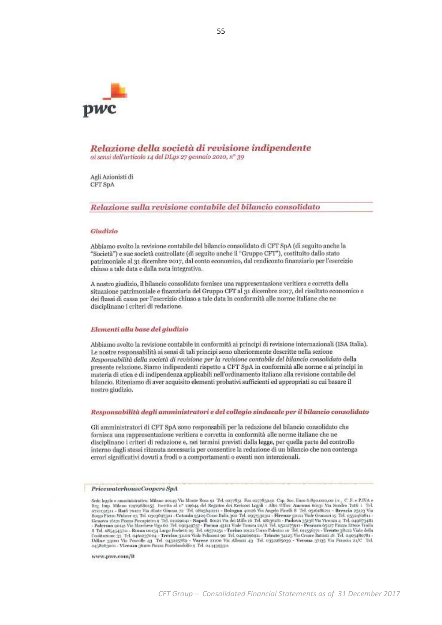

Relazione della società di revisione indipendente ai sensi dell'articolo 14 del DLgs 27 gennaio 2010, nº 39

Agli Azionisti di CFT SpA

Relazione sulla revisione contabile del bilancio consolidato

#### Giudizio

Abbiamo svolto la revisione contabile del bilancio consolidato di CFT SpA (di seguito anche la "Società") e sue società controllate (di seguito anche il "Gruppo CFT"), costituito dallo stato patrimoniale al 31 dicembre 2017, dal conto economico, dal rendiconto finanziario per l'esercizio chiuso a tale data e dalla nota integrativa.

A nostro giudizio, il bilancio consolidato fornisce una rappresentazione veritiera e corretta della situazione patrimoniale e finanziaria del Gruppo CFT al 31 dicembre 2017, del risultato economico e dei flussi di cassa per l'esercizio chiuso a tale data in conformità alle norme italiane che ne disciplinano i criteri di redazione.

#### Elementi alla base del giudizio

Abbiamo svolto la revisione contabile in conformità ai principi di revisione internazionali (ISA Italia). Le nostre responsabilità ai sensi di tali principi sono ulteriormente descritte nella sezione Responsabilità della società di revisione per la revisione contabile del bilancio consolidato della presente relazione. Siamo indipendenti rispetto a CFT SpA in conformità alle norme e ai principi in materia di etica e di indipendenza applicabili nell'ordinamento italiano alla revisione contabile del bilancio. Riteniamo di aver acquisito elementi probativi sufficienti ed appropriati su cui basare il nostro giudizio.

#### Responsabilità degli amministratori e del collegio sindacale per il bilancio consolidato

Gli amministratori di CFT SpA sono responsabili per la redazione del bilancio consolidato che fornisca una rappresentazione veritiera e corretta in conformità alle norme italiane che ne disciplinano i criteri di redazione e, nei termini previsti dalla legge, per quella parte del controllo interno dagli stessi ritenuta necessaria per consentire la redazione di un bilancio che non contenga errori significativi dovuti a frodi o a comportamenti o eventi non intenzionali.

#### PricewaterhouseCoopers SpA

Sede legale e amministrativa: Milano 2014<br/>9 Via Monte Rosa ya Tel. ozyväyt Fax ozyväyten Cap. Sec. Euro 6.39<br/>o.cor, on i.v., C. F. e P.IVA e Reg. Imp. Milano tray<br/>ygääneg5 Iscritta al. n° 119644 del Registra d

www.pwe.com/it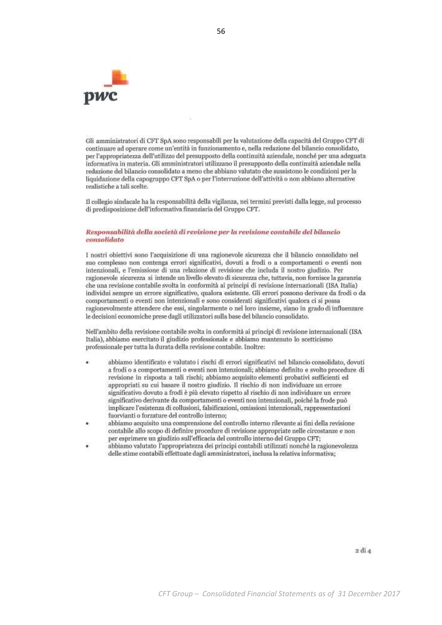

Gli amministratori di CFT SpA sono responsabili per la valutazione della capacità del Gruppo CFT di continuare ad operare come un'entità in funzionamento e, nella redazione del bilancio consolidato, per l'appropriatezza dell'utilizzo del presupposto della continuità aziendale, nonché per una adeguata informativa in materia. Gli amministratori utilizzano il presupposto della continuità aziendale nella redazione del bilancio consolidato a meno che abbiano valutato che sussistono le condizioni per la liquidazione della capogruppo CFT SpA o per l'interruzione dell'attività o non abbiano alternative realistiche a tali scelte.

Il collegio sindacale ha la responsabilità della vigilanza, nei termini previsti dalla legge, sul processo di predisposizione dell'informativa finanziaria del Gruppo CFT.

#### Responsabilità della società di revisione per la revisione contabile del bilancio consolidato

I nostri obiettivi sono l'acquisizione di una ragionevole sicurezza che il bilancio consolidato nel suo complesso non contenga errori significativi, dovuti a frodi o a comportamenti o eventi non intenzionali, e l'emissione di una relazione di revisione che includa il nostro giudizio. Per ragionevole sicurezza si intende un livello elevato di sicurezza che, tuttavia, non fornisce la garanzia che una revisione contabile svolta in conformità ai principi di revisione internazionali (ISA Italia) individui sempre un errore significativo, qualora esistente. Gli errori possono derivare da frodi o da comportamenti o eventi non intenzionali e sono considerati significativi qualora ci si possa ragionevolmente attendere che essi, singolarmente o nel loro insieme, siano in grado di influenzare le decisioni economiche prese dagli utilizzatori sulla base del bilancio consolidato.

Nell'ambito della revisione contabile svolta in conformità ai principi di revisione internazionali (ISA Italia), abbiamo esercitato il giudizio professionale e abbiamo mantenuto lo scetticismo professionale per tutta la durata della revisione contabile. Inoltre:

- abbiamo identificato e valutato i rischi di errori significativi nel bilancio consolidato, dovuti a frodi o a comportamenti o eventi non intenzionali; abbiamo definito e svolto procedure di revisione in risposta a tali rischi; abbiamo acquisito elementi probativi sufficienti ed appropriati su cui basare il nostro giudizio. Il rischio di non individuare un errore significativo dovuto a frodi è più elevato rispetto al rischio di non individuare un errore significativo derivante da comportamenti o eventi non intenzionali, poiché la frode può implicare l'esistenza di collusioni, falsificazioni, omissioni intenzionali, rappresentazioni fuorvianti o forzature del controllo interno;
- abbiamo acquisito una comprensione del controllo interno rilevante ai fini della revisione contabile allo scopo di definire procedure di revisione appropriate nelle circostanze e non per esprimere un giudizio sull'efficacia del controllo interno del Gruppo CFT;
- abbiamo valutato l'appropriatezza dei principi contabili utilizzati nonché la ragionevolezza delle stime contabili effettuate dagli amministratori, inclusa la relativa informativa;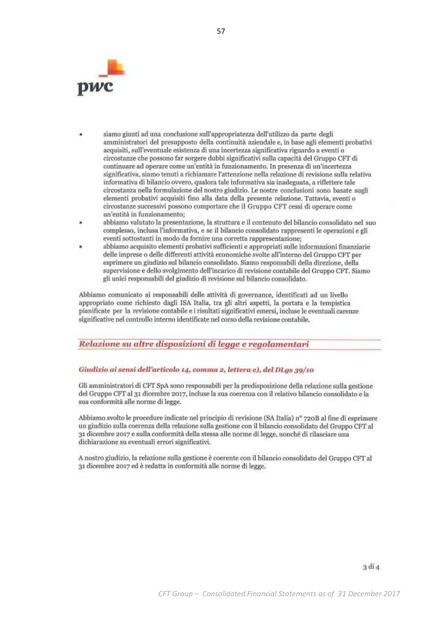

- siamo giunti ad una conclusione sull'appropriatezza dell'utilizzo da parte degli amministratori del presupposto della continuità aziendale e, in base agli elementi probativi acquisiti, sull'eventuale esistenza di una incertezza significativa riguardo a eventi o circostanze che possono far sorgere dubbi significativi sulla capacità del Gruppo CFT di continuare ad operare come un'entità in funzionamento. In presenza di un'incertezza significativa, siamo tenuti a richiamare l'attenzione nella relazione di revisione sulla relativa informativa di bilancio ovvero, qualora tale informativa sia inadeguata, a riflettere tale circostanza nella formulazione del nostro giudizio. Le nostre conclusioni sono basate sugli elementi probativi acquisiti fino alla data della presente relazione. Tuttavia, eventi o circostanze successivi possono comportare che il Gruppo CFT cessi di operare come un'entità in funzionamento;
- abbiamo valutato la presentazione, la struttura e il contenuto del bilancio consolidato nel suo complesso, inclusa l'informativa, e se il bilancio consolidato rappresenti le operazioni e gli eventi sottostanti in modo da fornire una corretta rappresentazione;
- abbiamo acquisito elementi probativi sufficienti e appropriati sulle informazioni finanziarie delle imprese o delle differenti attività economiche svolte all'interno del Gruppo CFT per esprimere un giudizio sul bilancio consolidato. Siamo responsabili della direzione, della supervisione e dello svolgimento dell'incarico di revisione contabile del Gruppo CFT. Siamo gli unici responsabili del giudizio di revisione sul bilancio consolidato.

Abbiamo comunicato ai responsabili delle attività di governance, identificati ad un livello appropriato come richiesto dagli ISA Italia, tra gli altri aspetti, la portata e la tempistica pianificate per la revisione contabile e i risultati significativi emersi, incluse le eventuali carenze significative nel controllo interno identificate nel corso della revisione contabile.

## Relazione su altre disposizioni di legge e regolamentari

### Giudizio ai sensi dell'articolo 14, comma 2, lettera e), del DLgs 39/10

Gli amministratori di CFT SpA sono responsabili per la predisposizione della relazione sulla gestione del Gruppo CFT al 31 dicembre 2017, incluse la sua coerenza con il relativo bilancio consolidato e la sua conformità alle norme di legge.

Abbiamo svolto le procedure indicate nel principio di revisione (SA Italia) n° 720B al fine di esprimere un giudizio sulla coerenza della relazione sulla gestione con il bilancio consolidato del Gruppo CFT al 31 dicembre 2017 e sulla conformità della stessa alle norme di legge, nonché di rilasciare una dichiarazione su eventuali errori significativi.

A nostro giudizio, la relazione sulla gestione è coerente con il bilancio consolidato del Gruppo CFT al 31 dicembre 2017 ed è redatta in conformità alle norme di legge.